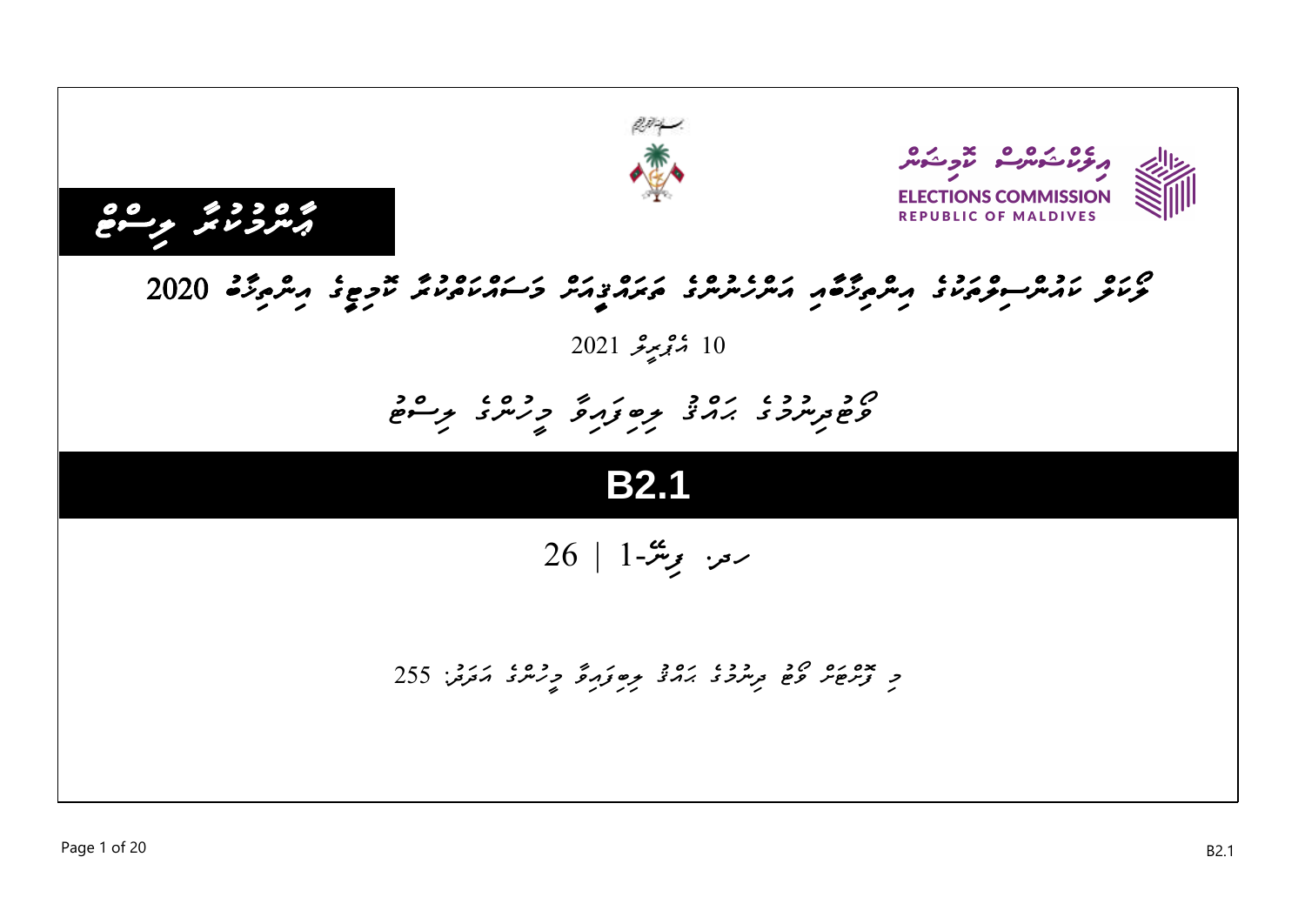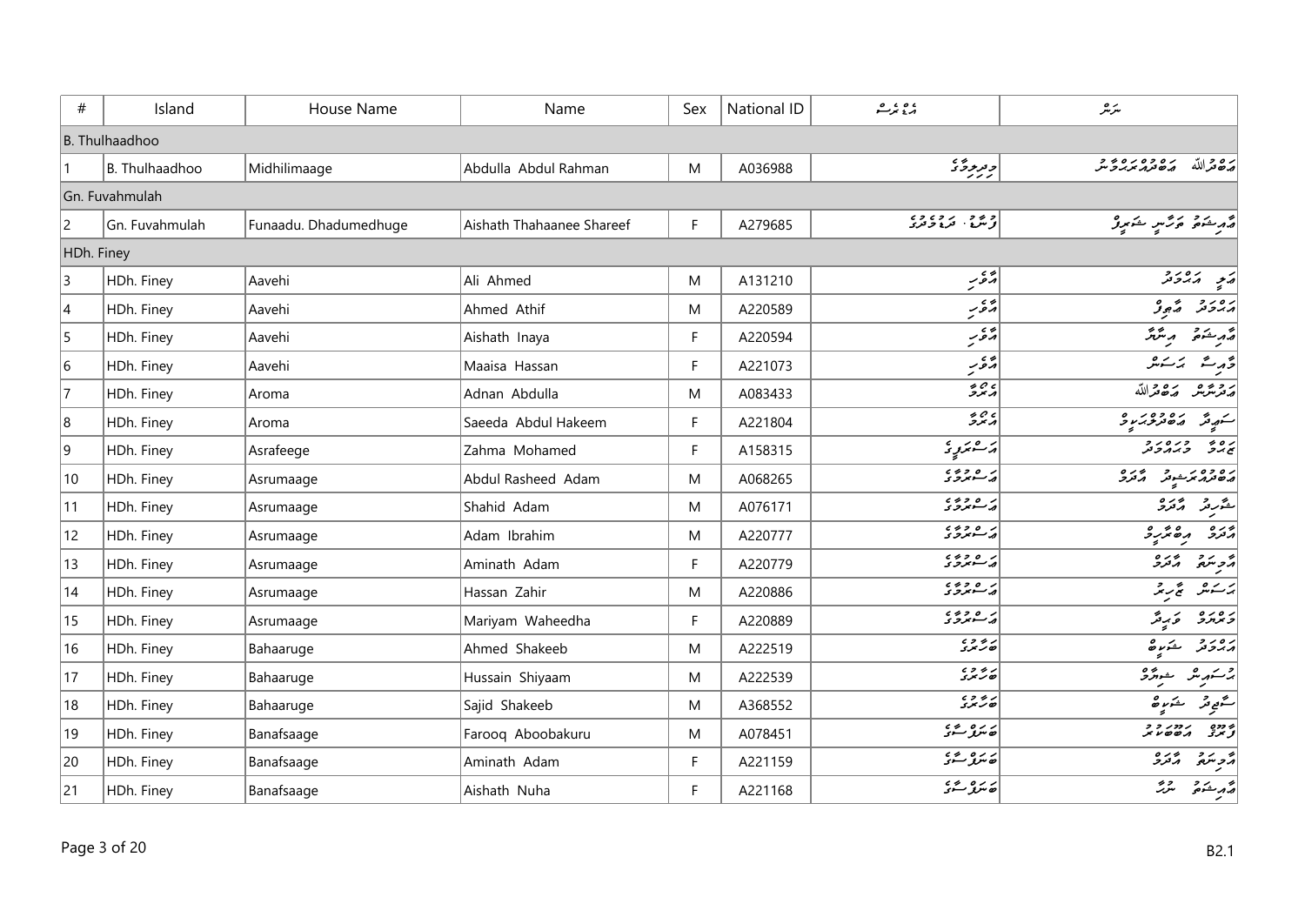| #               | Island         | House Name            | Name                      | Sex         | National ID | ، ه ، بر <u>م</u>                      | بىر ھ                                       |
|-----------------|----------------|-----------------------|---------------------------|-------------|-------------|----------------------------------------|---------------------------------------------|
|                 | B. Thulhaadhoo |                       |                           |             |             |                                        |                                             |
|                 | B. Thulhaadhoo | Midhilimaage          | Abdulla Abdul Rahman      | M           | A036988     | او تروژ ته<br>اب                       | ره و الله به مره و <i>و ده و د</i>          |
|                 | Gn. Fuvahmulah |                       |                           |             |             |                                        |                                             |
| 2               | Gn. Fuvahmulah | Funaadu. Dhadumedhuge | Aishath Thahaanee Shareef | $\mathsf F$ | A279685     | و چې د روه وه<br>توسره - تره و ترو     | وأرجنتم وكاس جنبرو                          |
| HDh. Finey      |                |                       |                           |             |             |                                        |                                             |
| 3               | HDh. Finey     | Aavehi                | Ali Ahmed                 | M           | A131210     | پر ء<br> مرغوب                         | أيمنح أيروجر                                |
| $\vert 4$       | HDh. Finey     | Aavehi                | Ahmed Athif               | M           | A220589     | ومحوسه                                 | رەر ئەر                                     |
| 5               | HDh. Finey     | Aavehi                | Aishath Inaya             | F           | A220594     | وء<br>مرغوب                            | أقمر شنعى ويتنكر                            |
| $6\overline{6}$ | HDh. Finey     | Aavehi                | Maaisa Hassan             | F           | A221073     | پر ء<br>مرغ                            | ۇرىق ئەسكىر                                 |
| 7               | HDh. Finey     | Aroma                 | Adnan Abdulla             | M           | A083433     | ی می بر<br>پر برگ                      | برويرير بره والله                           |
| 8               | HDh. Finey     | Aroma                 | Saeeda Abdul Hakeem       | F           | A221804     | ى مى ج<br>مەنىرى                       | رە دەر رە<br>مەھىرىرىدىن<br>سەرپەتر         |
| 9               | HDh. Finey     | Asrafeege             | Zahma Mohamed             | F           | A158315     | ىز س <sup>9</sup> ىخرى <sub>مى</sub> ئ | ره دره درو<br>بح <sup>رگ</sup> ديمدونر      |
| $ 10\rangle$    | HDh. Finey     | Asrumaage             | Abdul Rasheed Adam        | M           | A068265     | ر ۱۵۶۵ و.<br>مرسومبر <del>د</del> و.   | גם כם ג'ייביה הינקרי<br>ה'סינה בייביה הינקר |
| 11              | HDh. Finey     | Asrumaage             | Shahid Adam               | M           | A076171     | ر ۱۵ وه و<br>پرسه مرد د                | ے کر قرا <i>زہ</i><br>مسلم                  |
| 12              | HDh. Finey     | Asrumaage             | Adam Ibrahim              | M           | A220777     | ر ۱۵ وه و<br>پرسه مرد د                | وره مصرور                                   |
| $ 13\rangle$    | HDh. Finey     | Asrumaage             | Aminath Adam              | F           | A220779     | ر ۱۵ وه و<br>پرکسه موری                | أأوسكم أأرده                                |
| 14              | HDh. Finey     | Asrumaage             | Hassan Zahir              | M           | A220886     | ر ۱۵۶۵<br>پرسه برو د                   | يرسك يحريني                                 |
| 15              | HDh. Finey     | Asrumaage             | Mariyam Waheedha          | F           | A220889     | ر ٥ ۶ ۶ ۶<br>۵ سوبری                   | و ه ده و د تر                               |
| 16              | HDh. Finey     | Bahaaruge             | Ahmed Shakeeb             | M           | A222519     | ر بر د ،<br>ن <i>ن</i> تر د            | رەرد خىرە                                   |
| 17              | HDh. Finey     | Bahaaruge             | Hussain Shiyaam           | M           | A222539     | ر بر و ،<br>ن <i>ه ر</i> گری           | جر سکور مشور شودگر در                       |
| 18              | HDh. Finey     | Bahaaruge             | Sajid Shakeeb             | M           | A368552     | ر بر و ،<br>ن <i>ه ر</i> گری           | ستھویٹر سنگری                               |
| 19              | HDh. Finey     | Banafsaage            | Farooq Aboobakuru         | M           | A078451     | ە ئىرە بەي                             | 221321 2324<br>ציגוב גם סייג                |
| 20              | HDh. Finey     | Banafsaage            | Aminath Adam              | F           | A221159     | ە ئەرەپ يە                             | ړ ده په ده ده ده کر                         |
| 21              | HDh. Finey     | Banafsaage            | Aishath Nuha              | F           | A221168     | ە ئىروپىيى                             | أقدم شوقر المرتز                            |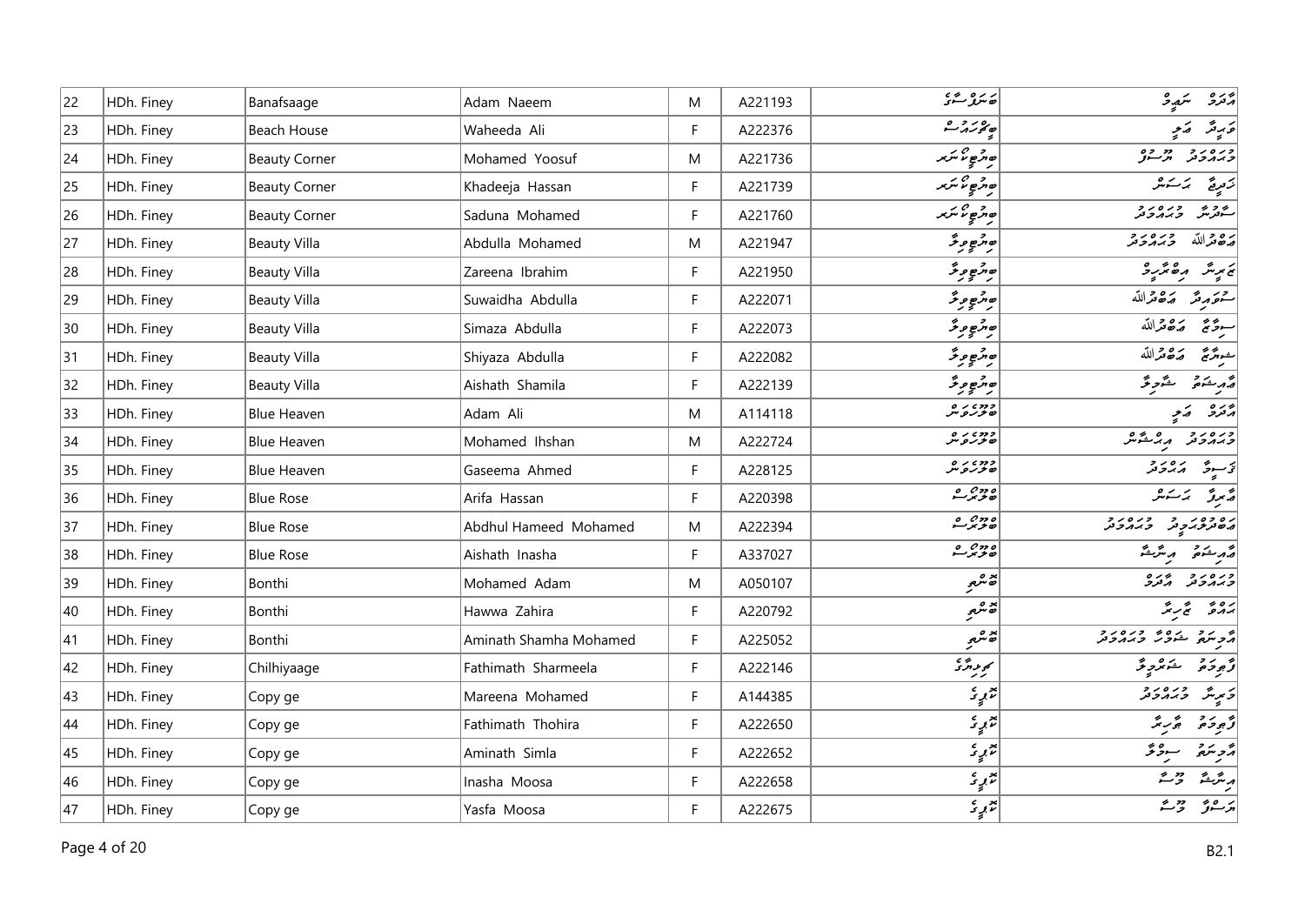| 22 | HDh. Finey | Banafsaage           | Adam Naeem             | M  | A221193 | پره وي                            | سَمِيرة<br>پر ره<br>د ترو                     |
|----|------------|----------------------|------------------------|----|---------|-----------------------------------|-----------------------------------------------|
| 23 | HDh. Finey | <b>Beach House</b>   | Waheeda Ali            | F. | A222376 | ە ئۇرۇر م                         | كوريتر الأمج                                  |
| 24 | HDh. Finey | <b>Beauty Corner</b> | Mohamed Yoosuf         | M  | A221736 | ە ئىس ئىسىدىد<br>ئىس ئىسىدىد      | כנסני מיכי<br>כגובע וק                        |
| 25 | HDh. Finey | <b>Beauty Corner</b> | Khadeeja Hassan        | F. | A221739 | وأرهبه تكبد                       | ترىرى <i>غ بركى</i> تر                        |
| 26 | HDh. Finey | <b>Beauty Corner</b> | Saduna Mohamed         | F  | A221760 |                                   | مەدەر <i>درەر</i> د                           |
| 27 | HDh. Finey | <b>Beauty Villa</b>  | Abdulla Mohamed        | M  | A221947 | ەدىھ ەڭر                          | برە ترالله<br>و رە ر د<br>تر پروتر            |
| 28 | HDh. Finey | <b>Beauty Villa</b>  | Zareena Ibrahim        | F  | A221950 | ە ئەھ بۇ<br>سىمبرىيە              | تمييس رەتمىي                                  |
| 29 | HDh. Finey | <b>Beauty Villa</b>  | Suwaidha Abdulla       | F  | A222071 | ھ پر ھو دگر<br>پر سنو پر          | حوم محمد مكافرالله                            |
| 30 | HDh. Finey | <b>Beauty Villa</b>  | Simaza Abdulla         | F  | A222073 | ھ پر ھو د <sup>ی</sup><br>ر       | سودَّتَمْ 16ھ قراللّه                         |
| 31 | HDh. Finey | <b>Beauty Villa</b>  | Shiyaza Abdulla        | F  | A222082 | <br>  مور هو مو                   | شورتمتم وكافترالله                            |
| 32 | HDh. Finey | <b>Beauty Villa</b>  | Aishath Shamila        | F. | A222139 | ە پرې ئورگر                       | وكرمشكم المشروق                               |
| 33 | HDh. Finey | <b>Blue Heaven</b>   | Adam Ali               | M  | A114118 | و دو ، ر ه<br>ح <i>افر ر</i> حر   | وره<br>م <sup>ور</sup> د مکم                  |
| 34 | HDh. Finey | <b>Blue Heaven</b>   | Mohamed Ihshan         | M  | A222724 | و دو ، ر ه<br>ن <i>ن تر د</i> ر ش | ورەرو مەشقىر                                  |
| 35 | HDh. Finey | <b>Blue Heaven</b>   | Gaseema Ahmed          | F  | A228125 | و دو ، ر ه<br>ن <i>ن تر د</i> ر   | ۇسوۇ كەردۇر                                   |
| 36 | HDh. Finey | <b>Blue Rose</b>     | Arifa Hassan           | F  | A220398 | ە دەم ھ                           | ە ئىبرى ئەسەھ                                 |
| 37 | HDh. Finey | <b>Blue Rose</b>     | Abdhul Hameed Mohamed  | M  | A222394 | ه دوم ه<br>  ه مرس                | נסכסנק כנסנק<br>הסתבהקת כההכת                 |
| 38 | HDh. Finey | <b>Blue Rose</b>     | Aishath Inasha         | F  | A337027 | ە دەم ھ                           | مەرشكى مەسىر                                  |
| 39 | HDh. Finey | Bonthi               | Mohamed Adam           | M  | A050107 | قامبر                             | وره رو په ره<br><i>وبرو</i> ونر مرفر <i>و</i> |
| 40 | HDh. Finey | Bonthi               | Hawwa Zahira           | F  | A220792 | لقوهمو                            | برە ئەستىر                                    |
| 41 | HDh. Finey | Bonthi               | Aminath Shamha Mohamed | F  | A225052 | قاشعر                             | أرمز والملحق ورامارة                          |
| 42 | HDh. Finey | Chilhiyaage          | Fathimath Sharmeela    | F  | A222146 | که دیگری<br>که دیگری              | ۇرۇرۇ شەھرىي                                  |
| 43 | HDh. Finey | Copy ge              | Mareena Mohamed        | F  | A144385 | بر<br>موب <sub>جو</sub> ر         | ر<br>تر پرسگر تر بر در در                     |
| 44 | HDh. Finey | Copy ge              | Fathimath Thohira      | F  | A222650 | بر<br>موري                        | قُهِ وَءُ تَجْرِبَدُ                          |
| 45 | HDh. Finey | Copy ge              | Aminath Simla          | F  | A222652 | لتعمير                            | أأرمز المستردة                                |
| 46 | HDh. Finey | Copy ge              | Inasha Moosa           | F  | A222658 | يو په په<br>  سمبونو              | أمر يتثبثه<br>دو مح                           |
| 47 | HDh. Finey | Copy ge              | Yasfa Moosa            | F  | A222675 | بع مي <sup>ي</sup><br>  تنفج تحه  | برعوش وحيث                                    |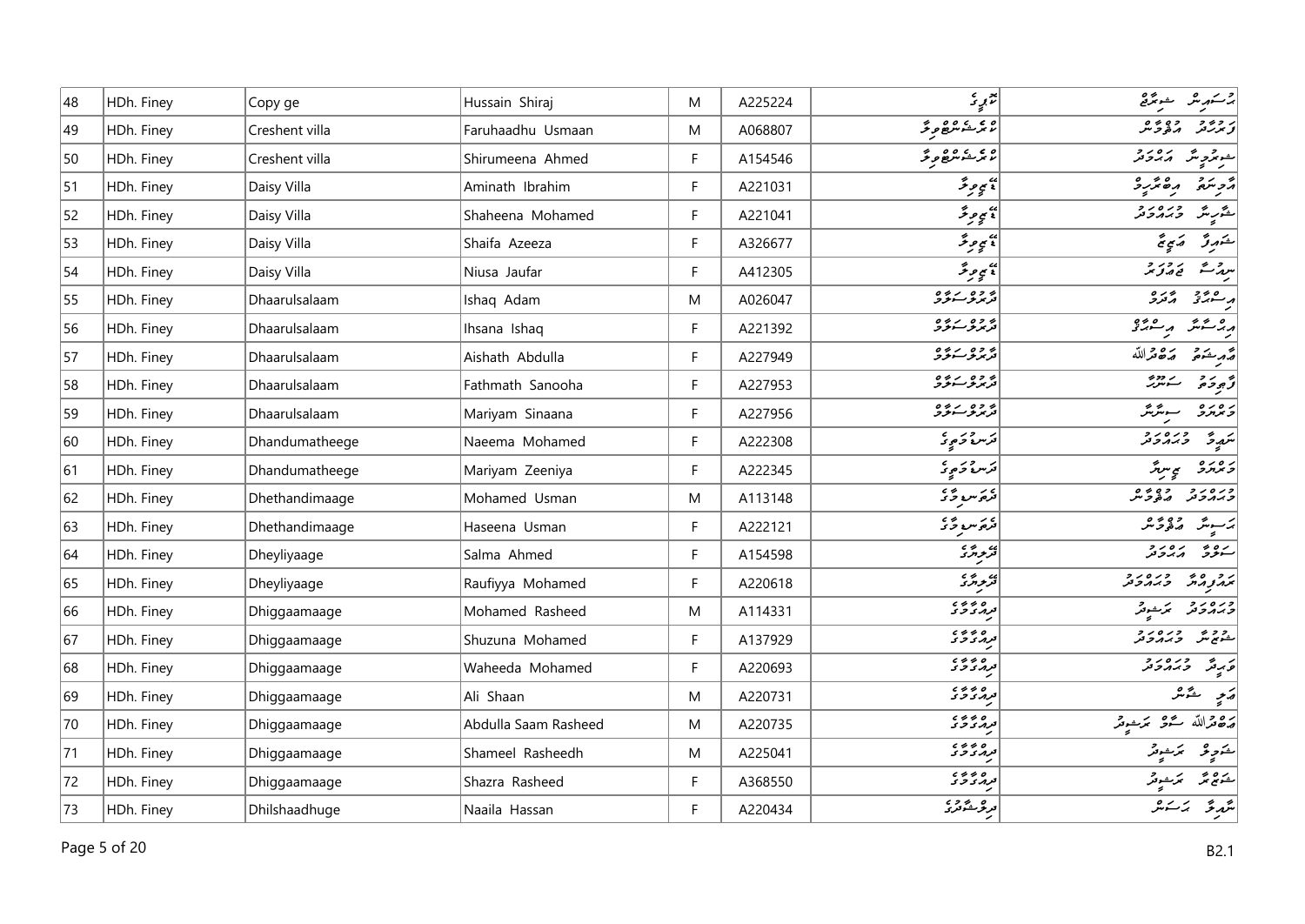| 48 | HDh. Finey | Copy ge        | Hussain Shiraj       | M  | A225224 | تړېږ ځه                          | 2سكىرىش ھو <i>يۇ</i> قى                       |
|----|------------|----------------|----------------------|----|---------|----------------------------------|-----------------------------------------------|
| 49 | HDh. Finey | Creshent villa | Faruhaadhu Usmaan    | M  | A068807 | يو ځه شر <mark>و</mark> و ځه     | ار و ده و وه ده و ده.<br>او بررگتر ان مرد و ش |
| 50 | HDh. Finey | Creshent villa | Shirumeena Ahmed     | F. | A154546 | ە يەن ھەم ئى                     | جوړې پر ډېرونر                                |
| 51 | HDh. Finey | Daisy Villa    | Aminath Ibrahim      | F. | A221031 | ن <sup>ه</sup> سمج حرقحه         | ومحر المتعارف                                 |
| 52 | HDh. Finey | Daisy Villa    | Shaheena Mohamed     | F  | A221041 | ېم پرېڅه<br>د کال                | رشم وره د و د                                 |
| 53 | HDh. Finey | Daisy Villa    | Shaifa Azeeza        | F  | A326677 | اءُ <sub>مح</sub> ومتَر<br>مسيح  | ڪرمر ته ان آي پخ                              |
| 54 | HDh. Finey | Daisy Villa    | Niusa Jaufar         | F. | A412305 | اءٌ <sub>مح</sub> ومو            | سرتر شه در د                                  |
| 55 | HDh. Finey | Dhaarulsalaam  | Ishaq Adam           | M  | A026047 | پر وه پر پره<br>تربربر شور       | د شرچ په ده د                                 |
| 56 | HDh. Finey | Dhaarulsalaam  | Ihsana Ishaq         | F  | A221392 | ء وه مروه<br>تربربو <i>س</i> ور  | ورمح شرق ورحابتهم                             |
| 57 | HDh. Finey | Dhaarulsalaam  | Aishath Abdulla      | F  | A227949 | ر وه ر ره ه<br>تربربر سنور       | صمر شوخه صكره تمرالله                         |
| 58 | HDh. Finey | Dhaarulsalaam  | Fathmath Sanooha     | F. | A227953 | ء وه ريره<br>تربرتر-ترو          | ۇ بۇرە ئەيرو                                  |
| 59 | HDh. Finey | Dhaarulsalaam  | Mariyam Sinaana      | F  | A227956 | ء وه ريره<br>تربرتر-ترو          | رەرە سەرگە                                    |
| 60 | HDh. Finey | Dhandumatheege | Naeema Mohamed       | F  | A222308 | تەسرق ئەمرى                      |                                               |
| 61 | HDh. Finey | Dhandumatheege | Mariyam Zeeniya      | F  | A222345 | ترسر و حرم و ح                   |                                               |
| 62 | HDh. Finey | Dhethandimaage | Mohamed Usman        | M  | A113148 | <br>  مریر سو پ <sup>ر</sup> د   | ورەرو وەپرە                                   |
| 63 | HDh. Finey | Dhethandimaage | Haseena Usman        | F  | A222121 | مُرجَم سو حَرَى                  | پرسېد وه وگړه                                 |
| 64 | HDh. Finey | Dheyliyaage    | Salma Ahmed          | F  | A154598 | در در در<br>  قرموبری            | روء رورو                                      |
| 65 | HDh. Finey | Dheyliyaage    | Raufiyya Mohamed     | F. | A220618 | شرح مر<br>  قرح مرد              | ני פיט בניסניב                                |
| 66 | HDh. Finey | Dhiggaamaage   | Mohamed Rasheed      | M  | A114331 | ه ۶۶۶ و<br>مرد د 5 و د           | وره د و مرشوند<br>د <i>بر د بر</i>            |
| 67 | HDh. Finey | Dhiggaamaage   | Shuzuna Mohamed      | F  | A137929 | و ۵ ۶ ۶ تا<br>مرد تر تر ت        | رو و د ورورو<br>  شویم شرح و برابر و تر       |
| 68 | HDh. Finey | Dhiggaamaage   | Waheeda Mohamed      | F  | A220693 | ه ۶۶۶ و<br>مرد د 5 و د           | كوبرير وبرورد                                 |
| 69 | HDh. Finey | Dhiggaamaage   | Ali Shaan            | M  | A220731 | ه ۵ ۵ و د<br>تو <i>۸ د</i> ۶ و ی | أرشم المشتر                                   |
| 70 | HDh. Finey | Dhiggaamaage   | Abdulla Saam Rasheed | M  | A220735 | ه ۵ ۵ ۵ و<br>تو <i>۸ د</i> ۶ و   | برە قراللە مەد بر شوتر                        |
| 71 | HDh. Finey | Dhiggaamaage   | Shameel Rasheedh     | M  | A225041 | ه ۵ ۵ و ۶<br>تو <i>۸ د</i> ۶ و ک | لمكوفي الكربلوقر                              |
| 72 | HDh. Finey | Dhiggaamaage   | Shazra Rasheed       | F  | A368550 | و پر برخ تر ي<br>مرحمه تر تر تر  | لشويج تكر مكر شوقر                            |
| 73 | HDh. Finey | Dhilshaadhuge  | Naaila Hassan        | F  | A220434 | و د د شود و پ                    | شمرتخ   يَرْسَسْ                              |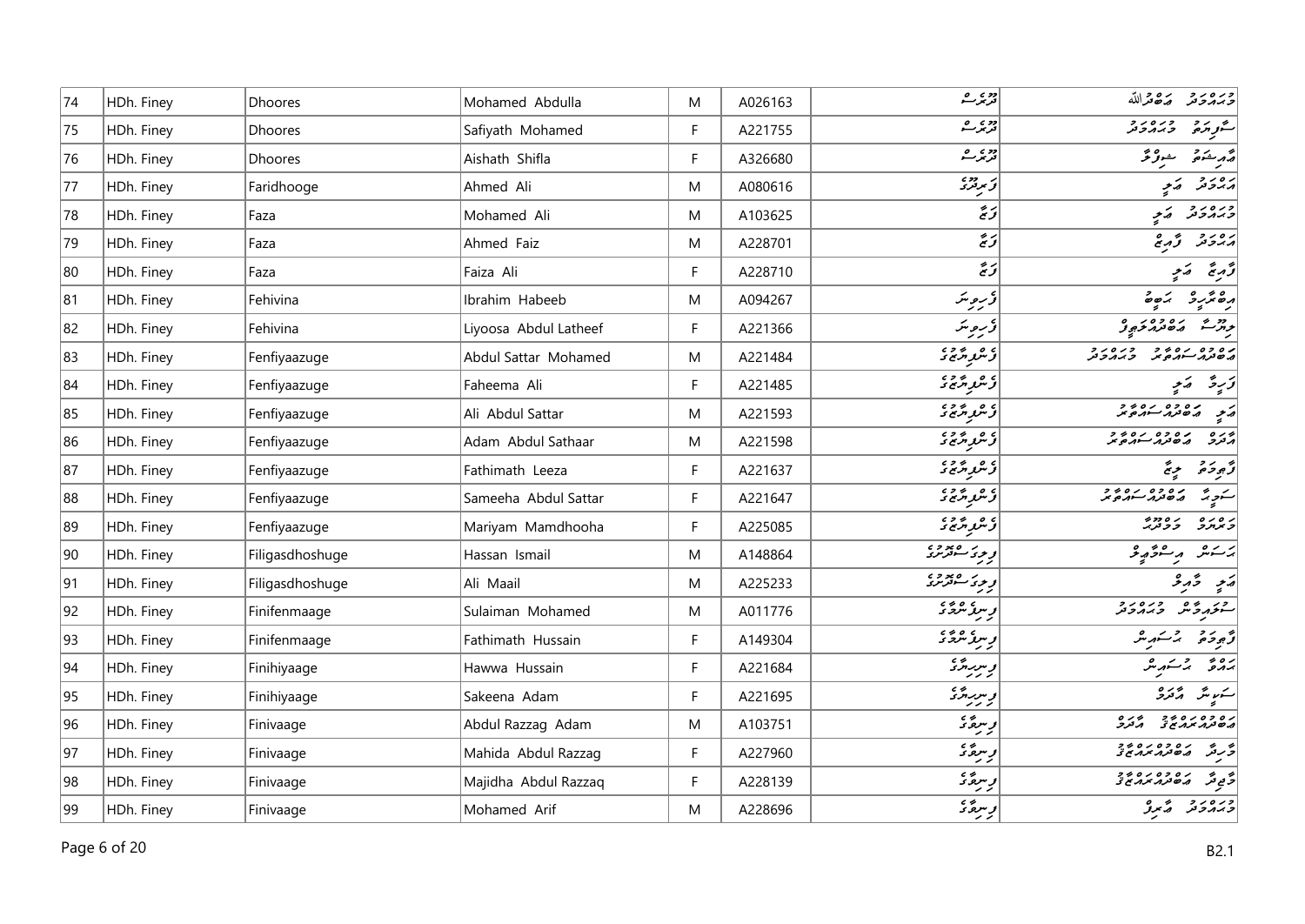| 74 | HDh. Finey | <b>Dhoores</b>  | Mohamed Abdulla       | ${\sf M}$ | A026163 | ود ۽ ه                                                            | وره رو ده دالله                                                                                     |
|----|------------|-----------------|-----------------------|-----------|---------|-------------------------------------------------------------------|-----------------------------------------------------------------------------------------------------|
| 75 | HDh. Finey | <b>Dhoores</b>  | Safiyath Mohamed      | F         | A221755 | دد ۽ ه                                                            | گروهره وبره دو                                                                                      |
| 76 | HDh. Finey | Dhoores         | Aishath Shifla        | F         | A326680 | لتربر ہے                                                          | أقهر مشكرة المسورقة                                                                                 |
| 77 | HDh. Finey | Faridhooge      | Ahmed Ali             | M         | A080616 | تر بردد ؟<br>تر برنرد                                             | رەرد كې                                                                                             |
| 78 | HDh. Finey | Faza            | Mohamed Ali           | M         | A103625 | ترتج                                                              | ورەرو كې                                                                                            |
| 79 | HDh. Finey | Faza            | Ahmed Faiz            | M         | A228701 | ترتج                                                              | أرور و و و                                                                                          |
| 80 | HDh. Finey | Faza            | Faiza Ali             | F         | A228710 | ترتج                                                              | وَّمِيَّ مَيْ                                                                                       |
| 81 | HDh. Finey | Fehivina        | Ibrahim Habeeb        | ${\sf M}$ | A094267 | ۇروپىر<br>مەم                                                     |                                                                                                     |
| 82 | HDh. Finey | Fehivina        | Liyoosa Abdul Latheef | F         | A221366 | ۇروپر                                                             | والمحمد المتحدث المحمد المحمد المحمد المحمد المحمد المحمد المحمد المحمد المحمد المحمد المحمد المحمد |
| 83 | HDh. Finey | Fenfiyaazuge    | Abdul Sattar Mohamed  | M         | A221484 | ې مهمو پر د ،<br>از شر <sub>و</sub> پر بر                         | נסכם נסמכ כנסנכ<br>גםנגג יינוקי כגובנג                                                              |
| 84 | HDh. Finey | Fenfiyaazuge    | Faheema Ali           | F         | A221485 | ئۇ شرىر ش <sup>ىرى</sup> ئ                                        | تزریڅ اړمني                                                                                         |
| 85 | HDh. Finey | Fenfiyaazuge    | Ali Abdul Sattar      | M         | A221593 | ئۇنتىر بىرىيى<br>  ئۇنتىر بىرىيى                                  |                                                                                                     |
| 86 | HDh. Finey | Fenfiyaazuge    | Adam Abdul Sathaar    | ${\sf M}$ | A221598 | ې مهمو پر دې<br>لر مګمو پر سی                                     | پره ده ده ده پور<br>مندو ماه تدم سوم پر                                                             |
| 87 | HDh. Finey | Fenfiyaazuge    | Fathimath Leeza       | F         | A221637 | ئۇنترى <i>م ھەج</i>                                               | وٌمودَهُ جِعٌ                                                                                       |
| 88 | HDh. Finey | Fenfiyaazuge    | Sameeha Abdul Sattar  | F         | A221647 | ې ش <sub>رېږ</sub> پر د ،<br>د شر <sub>ي</sub> ر پر <sub>کا</sub> | سور مقدم مقدم                                                                                       |
| 89 | HDh. Finey | Fenfiyaazuge    | Mariyam Mamdhooha     | F         | A225085 | ې ش <sub>رېږ</sub> پر د ،<br>د شر <sub>ي</sub> ر پر <sub>کا</sub> | ر ه ر ه در دور<br><mark>د بربرد کر</mark> و تر                                                      |
| 90 | HDh. Finey | Filigasdhoshuge | Hassan Ismail         | M         | A148864 | د پر ۲۶ و د د د<br>  د پر پر سه تعریری                            | ىرىكىش بەستىۋېرى                                                                                    |
| 91 | HDh. Finey | Filigasdhoshuge | Ali Maail             | M         | A225233 | و حرح سود و ح<br>  و حرى سوفرىرى                                  | أريمو المحمر عمر                                                                                    |
| 92 | HDh. Finey | Finifenmaage    | Sulaiman Mohamed      | M         | A011776 | رسر د عروج<br>  بر سر د سرچ د                                     | בנגלים בניסגב                                                                                       |
| 93 | HDh. Finey | Finifenmaage    | Fathimath Hussain     | F         | A149304 | ر سرگەشترى<br>س                                                   | ۋە ئەڭ بەسكىرىش                                                                                     |
| 94 | HDh. Finey | Finihiyaage     | Hawwa Hussain         | F         | A221684 | و سربر پژی<br>تر بر برگ                                           | برەپ جەسەر ش                                                                                        |
| 95 | HDh. Finey | Finihiyaage     | Sakeena Adam          | F         | A221695 | ا و سربر پر دی<br>ار سربر پر دی                                   | سەر شەر ئەرە                                                                                        |
| 96 | HDh. Finey | Finivaage       | Abdul Razzag Adam     | ${\sf M}$ | A103751 | و سرچ <sup>ء</sup><br>تر سرچ                                      | נ 2010 נים 2014<br>השינו מה 2 הינב                                                                  |
| 97 | HDh. Finey | Finivaage       | Mahida Abdul Razzag   | F         | A227960 | او مدینچ<br>او مدینچ                                              | و ده ده ده ده ود                                                                                    |
| 98 | HDh. Finey | Finivaage       | Majidha Abdul Razzaq  | F         | A228139 | و سرچ <sup>ی</sup>                                                | و ده ده ده ده وو.<br>د هېڅه د ه ه تر مر تر مريخ                                                     |
| 99 | HDh. Finey | Finivaage       | Mohamed Arif          | ${\sf M}$ | A228696 | و سرچ <sup>ي</sup>                                                | ورەرو ئەير                                                                                          |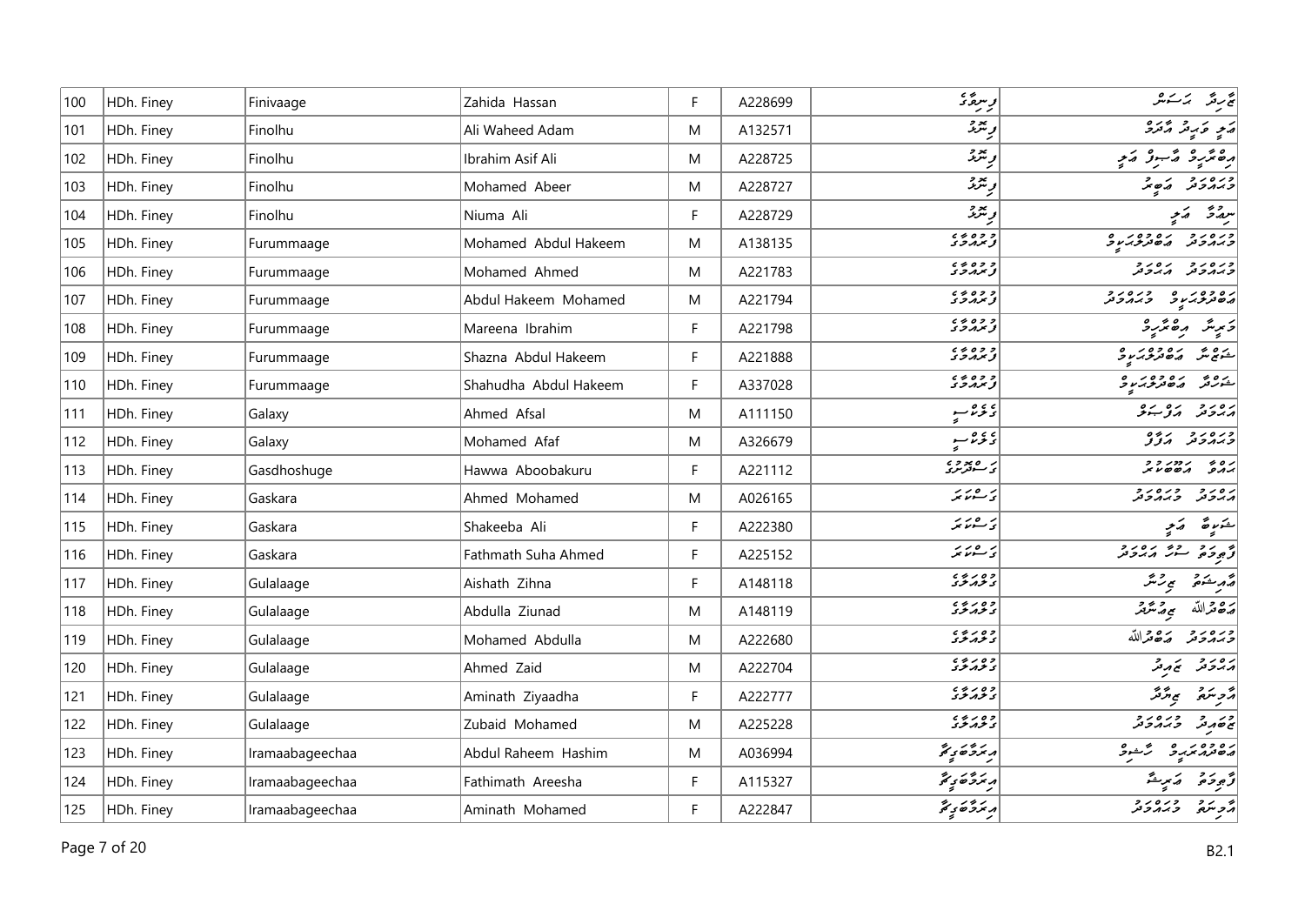| 100 | HDh. Finey | Finivaage       | Zahida Hassan         | F         | A228699 | و سرچ <sup>ء</sup> ِ                   | ىم بىر ئەسكىلى<br>مەسىر                     |
|-----|------------|-----------------|-----------------------|-----------|---------|----------------------------------------|---------------------------------------------|
| 101 | HDh. Finey | Finolhu         | Ali Waheed Adam       | M         | A132571 | ويترد                                  | د و د و و ده و                              |
| 102 | HDh. Finey | Finolhu         | Ibrahim Asif Ali      | M         | A228725 | وبترتز                                 | دە ئەر د ئەسور مەر                          |
| 103 | HDh. Finey | Finolhu         | Mohamed Abeer         | M         | A228727 | وبترز                                  | 201 22012                                   |
| 104 | HDh. Finey | Finolhu         | Niuma Ali             | F         | A228729 | ويترتز                                 | سرچينې تمه                                  |
| 105 | HDh. Finey | Furummaage      | Mohamed Abdul Hakeem  | M         | A138135 | و وه و د ،<br>تو بوړو د                | ورەر دەرەدەر ھ                              |
| 106 | HDh. Finey | Furummaage      | Mohamed Ahmed         | M         | A221783 | و وه پر پر<br>تو <i>پور</i> و پر       | כנסנכ נסנכ<br>כגמכ <mark>נג ה</mark> גכנג   |
| 107 | HDh. Finey | Furummaage      | Abdul Hakeem Mohamed  | M         | A221794 | و وه و د.<br>تو بوړو د                 | נסכפנים כנסנב<br>הסתבהים כמהכת              |
| 108 | HDh. Finey | Furummaage      | Mareena Ibrahim       | F         | A221798 | و وه پو ،<br>تو <del>ب</del> ر پر بر ی | كخبيش وكالجريرة                             |
| 109 | HDh. Finey | Furummaage      | Shazna Abdul Hakeem   | F         | A221888 | و وه و »<br>تو بوړ تر ت                | شەم مەمدىرە                                 |
| 110 | HDh. Finey | Furummaage      | Shahudha Abdul Hakeem | F         | A337028 | و وه پر ي<br>تو بور تر ي               | شرەپر رەدەررە                               |
| 111 | HDh. Finey | Galaxy          | Ahmed Afsal           | M         | A111150 | ائی څرم پ                              | גפיב גף גף                                  |
| 112 | HDh. Finey | Galaxy          | Mohamed Afaf          | M         | A326679 | ای ده م                                | وره روه<br>وبرمرونر آرؤؤ                    |
| 113 | HDh. Finey | Gasdhoshuge     | Hawwa Aboobakuru      | F         | A221112 | ر رہ پو و ،<br>کی سسوتوری              | נים נחנים<br>גרפ גםסטיב                     |
| 114 | HDh. Finey | Gaskara         | Ahmed Mohamed         | M         | A026165 | ىر ھەئەبجە                             | و ر ه ر د<br>تر پروتر<br>ر ه ر د<br>م.رو تر |
| 115 | HDh. Finey | Gaskara         | Shakeeba Ali          | F         | A222380 | ر 2،2 ئە                               | شەرق كەم                                    |
| 116 | HDh. Finey | Gaskara         | Fathmath Suha Ahmed   | F         | A225152 | ى سەندىكە                              | و دو دو ده ده د                             |
| 117 | HDh. Finey | Gulalaage       | Aishath Zihna         | F         | A148118 | د ه د پر پر<br>د نوپرنو د              | قهر ينكو بم ترتثر                           |
| 118 | HDh. Finey | Gulalaage       | Abdulla Ziunad        | M         | A148119 | و ه ر پر پر<br><b>تر بر</b> تر تر      | مەھىراللە بىر ئىر                           |
| 119 | HDh. Finey | Gulalaage       | Mohamed Abdulla       | M         | A222680 | و ه بر پر پر<br>پر بحري                | وره رو ده قرالله                            |
| 120 | HDh. Finey | Gulalaage       | Ahmed Zaid            | M         | A222704 | و ه بر پر پر<br>د نوپرنو د             | גפיב הלגב                                   |
| 121 | HDh. Finey | Gulalaage       | Aminath Ziyaadha      | F         | A222777 | و ه ر پر پر<br><b>ی نژ</b> برنوی       | أأرجر المتعمر والمحرقد                      |
| 122 | HDh. Finey | Gulalaage       | Zubaid Mohamed        | ${\sf M}$ | A225228 | و ه بر پر پر<br><b>بر بحر</b> بر       | 2,012 2,02                                  |
| 123 | HDh. Finey | Iramaabageechaa | Abdul Raheem Hashim   | ${\sf M}$ | A036994 | مرځرځه په نځ                           | ره وه بر ره گشود<br>مەھىرمىز بر گشود        |
| 124 | HDh. Finey | Iramaabageechaa | Fathimath Areesha     | F         | A115327 | بر ترځ ځه په تخ                        | وحجوده وكمبيث                               |
| 125 | HDh. Finey | Iramaabageechaa | Aminath Mohamed       | F         | A222847 | ە ئەۋە ئەتم                            | و دره دره در د                              |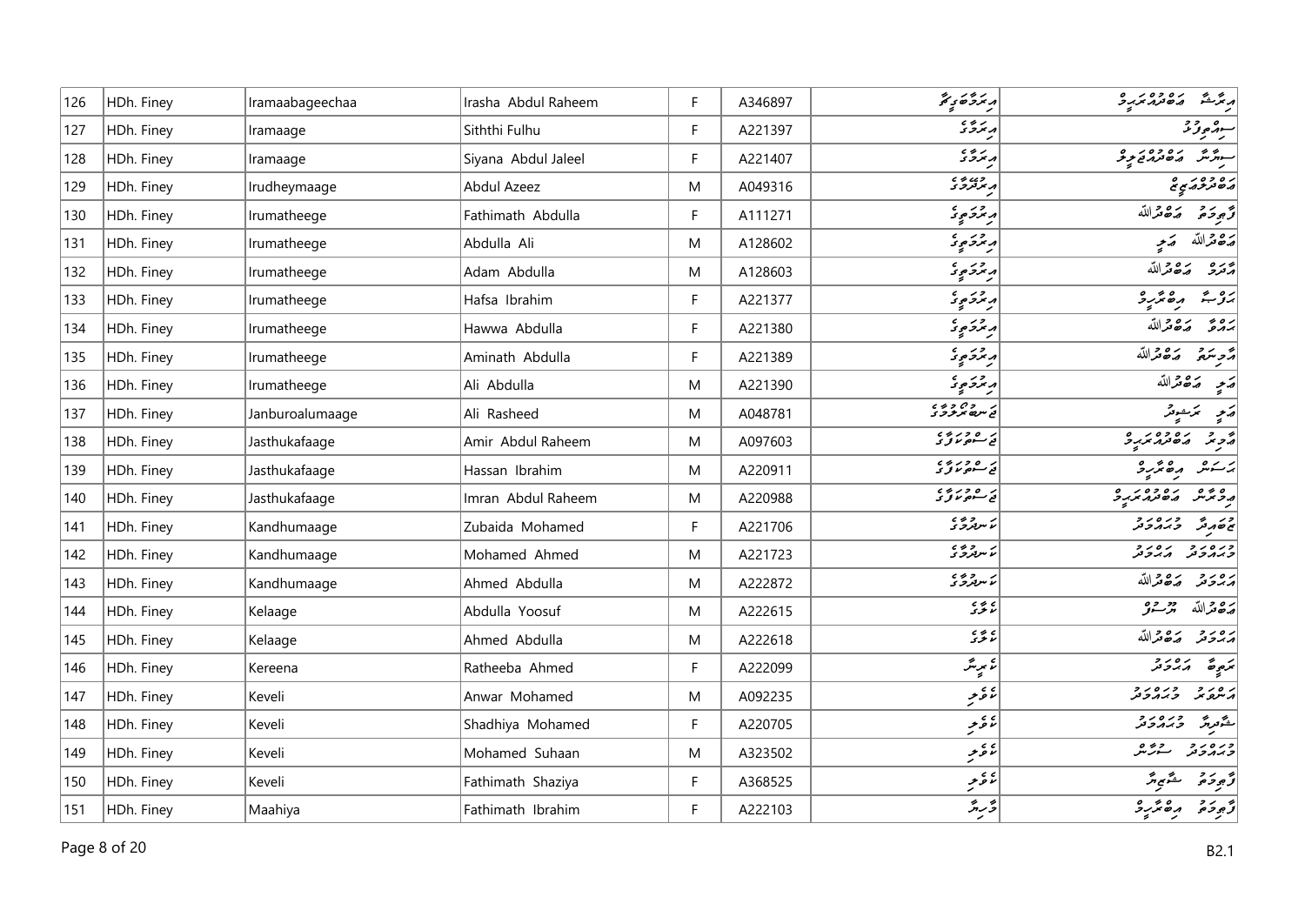| 126 | HDh. Finey | Iramaabageechaa | Irasha Abdul Raheem | F  | A346897 | ە ئەۋە ئەتۇ                         | CHE 10201                                                          |
|-----|------------|-----------------|---------------------|----|---------|-------------------------------------|--------------------------------------------------------------------|
| 127 | HDh. Finey | Iramaage        | Siththi Fulhu       | F  | A221397 | ەر بىرى ئ                           | سود حوز تر                                                         |
| 128 | HDh. Finey | Iramaage        | Siyana Abdul Jaleel | F. | A221407 | د برو د                             | $\overline{\mathcal{Z}^{\mathcal{Z}}_{\mathcal{P}^{\mathcal{Z}}}}$ |
| 129 | HDh. Finey | Irudheymaage    | <b>Abdul Azeez</b>  | M  | A049316 | <br>  مرمزدی                        | ر 22,20 ج<br>مەھەر <i>25 ي</i> ې                                   |
| 130 | HDh. Finey | Irumatheege     | Fathimath Abdulla   | F  | A111271 | <br>  پر ټرخ ه <sub>و</sub> د       | قرموحرم وكامترالله                                                 |
| 131 | HDh. Finey | Irumatheege     | Abdulla Ali         | M  | A128602 | و پرځمو ځ                           | پر&قرالله ک <sup>ی</sup> محی                                       |
| 132 | HDh. Finey | Irumatheege     | Adam Abdulla        | M  | A128603 | ېر تر دې<br>بر تر دې                | وترو وكامرالله                                                     |
| 133 | HDh. Finey | Irumatheege     | Hafsa Ibrahim       | F  | A221377 | ېر پر دې<br>پر پر دې                | روية مەھرىرو                                                       |
| 134 | HDh. Finey | Irumatheege     | Hawwa Abdulla       | F  | A221380 | ېر بر دې<br>بر بر دې                | بروء ره دلله                                                       |
| 135 | HDh. Finey | Irumatheege     | Aminath Abdulla     | F. | A221389 | ېر بر دې<br>بر برد م <sub>و</sub> ر | محرسكر مكافرالله                                                   |
| 136 | HDh. Finey | Irumatheege     | Ali Abdulla         | M  | A221390 | وبرځ وځ                             | أصحي صكاه متعاللته                                                 |
| 137 | HDh. Finey | Janburoalumaage | Ali Rasheed         | M  | A048781 | ر وه وه و<br>نج سرح تروی            | كەن كەنتىدىگە<br>مەنبە                                             |
| 138 | HDh. Finey | Jasthukafaage   | Amir Abdul Raheem   | M  | A097603 | ر ده در پره<br>د که سوه بر تو د     | 2 - 2 - 2020 - 2020                                                |
| 139 | HDh. Finey | Jasthukafaage   | Hassan Ibrahim      | M  | A220911 | ر ۱۶۵۵ ور<br>پي سنده د تو د         |                                                                    |
| 140 | HDh. Finey | Jasthukafaage   | Imran Abdul Raheem  | M  | A220988 | ر ده د ر ږ ،<br>د کستونو د          | 0 0000 10000                                                       |
| 141 | HDh. Finey | Kandhumaage     | Zubaida Mohamed     | F  | A221706 | ر سرور د<br>ما سربرگر <sub>ک</sub>  | כן היסניב                                                          |
| 142 | HDh. Finey | Kandhumaage     | Mohamed Ahmed       | M  | A221723 | ر سرور د<br>ما سربرگر <sub>ک</sub>  | כנסנכ נסנכ<br>כג <mark>תכ</mark> נ <mark>ה</mark> גבנ              |
| 143 | HDh. Finey | Kandhumaage     | Ahmed Abdulla       | M  | A222872 | ر سرور د<br>ما سربرگر <sub>ک</sub>  | برورد بره دالله                                                    |
| 144 | HDh. Finey | Kelaage         | Abdulla Yoosuf      | M  | A222615 | ى بەي<br>مامۇي                      | رە قراللە جۇ جۇ                                                    |
| 145 | HDh. Finey | Kelaage         | Ahmed Abdulla       | M  | A222618 | ى بە ي<br>ما مۇ ي                   | ره رو ده قرالله                                                    |
| 146 | HDh. Finey | Kereena         | Ratheeba Ahmed      | F  | A222099 | ئامېرىتىر                           | بَرُهِ صَلَّى مَدَّرَ تَرَ                                         |
| 147 | HDh. Finey | Keveli          | Anwar Mohamed       | M  | A092235 | عمومي                               |                                                                    |
| 148 | HDh. Finey | Keveli          | Shadhiya Mohamed    | F  | A220705 | عمقرمر                              | شگورگر وبره د و                                                    |
| 149 | HDh. Finey | Keveli          | Mohamed Suhaan      | M  | A323502 | عمقرمر                              | و ر ه ر د<br>تر پر ژ تر<br>سەرمىر                                  |
| 150 | HDh. Finey | Keveli          | Fathimath Shaziya   | F  | A368525 | ءَءُمِ                              | ۇ بوخ <sup>ە</sup><br>مشتمع تر                                     |
| 151 | HDh. Finey | Maahiya         | Fathimath Ibrahim   | F. | A222103 | د گردگر<br>ر                        | توجدة مقتررة                                                       |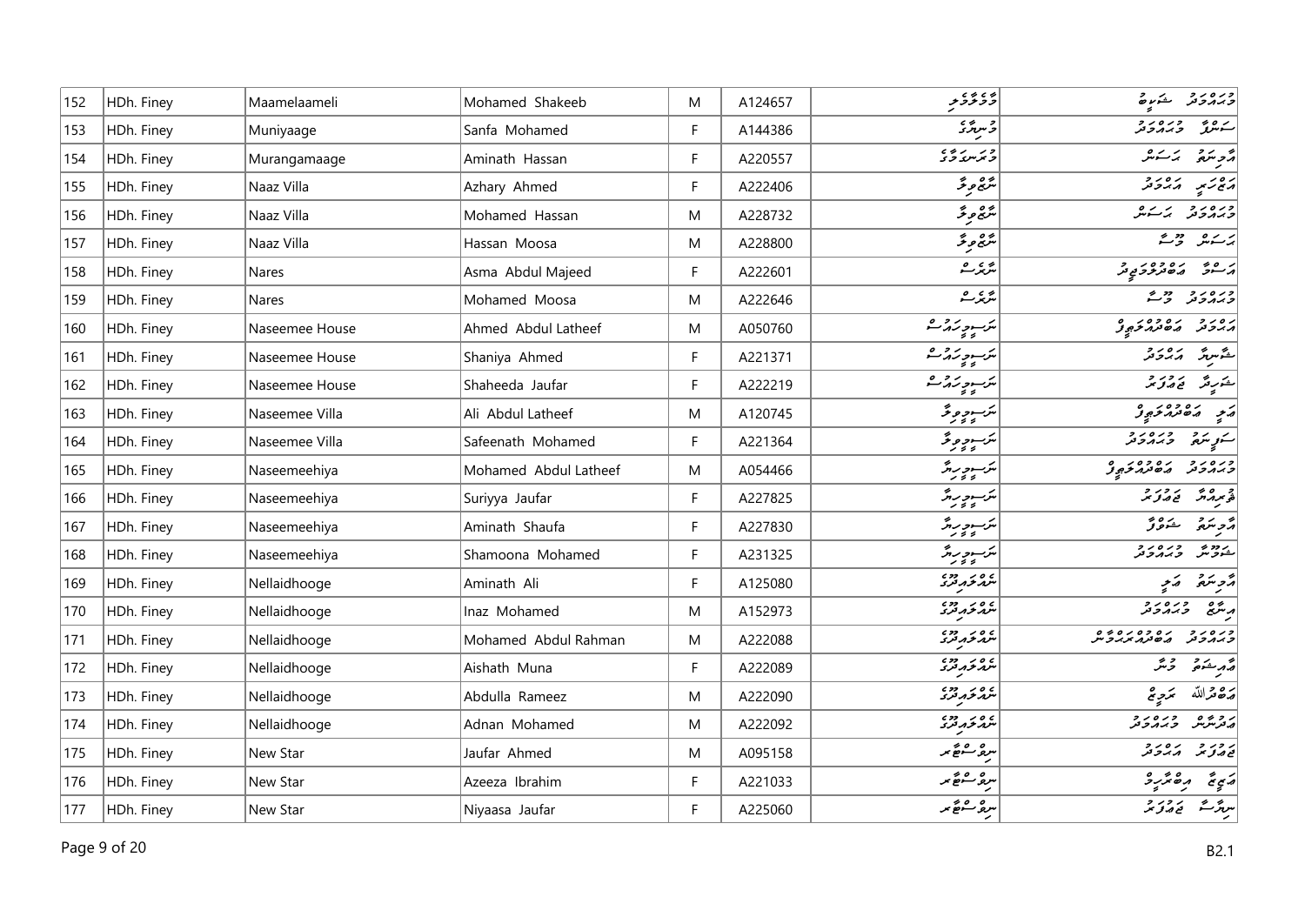| 152 | HDh. Finey | Maamelaameli   | Mohamed Shakeeb       | M  | A124657 | ۇ ئەنۋى بىر                        | ورەرو شەرە                                                                                                                                                                                                                       |
|-----|------------|----------------|-----------------------|----|---------|------------------------------------|----------------------------------------------------------------------------------------------------------------------------------------------------------------------------------------------------------------------------------|
| 153 | HDh. Finey | Muniyaage      | Sanfa Mohamed         | F  | A144386 | و بدره د.<br>و سرور                | سەمەيرە دىرەرد                                                                                                                                                                                                                   |
| 154 | HDh. Finey | Murangamaage   | Aminath Hassan        | F  | A220557 | و ر<br>تر ښرند ژ د                 | أأزجا ستركم بمركب والمراجيل                                                                                                                                                                                                      |
| 155 | HDh. Finey | Naaz Villa     | Azhary Ahmed          | F  | A222406 | يژچ عر محر                         | أمهم شهر متصرفته                                                                                                                                                                                                                 |
| 156 | HDh. Finey | Naaz Villa     | Mohamed Hassan        | M  | A228732 | متنج وقحه                          | ورەرو پرىش                                                                                                                                                                                                                       |
| 157 | HDh. Finey | Naaz Villa     | Hassan Moosa          | M  | A228800 | مرچ عرقحه                          | ير کے مراج کے حالات کے م                                                                                                                                                                                                         |
| 158 | HDh. Finey | Nares          | Asma Abdul Majeed     | F  | A222601 | متزبر حر                           | ر و و دوه ر و د د                                                                                                                                                                                                                |
| 159 | HDh. Finey | Nares          | Mohamed Moosa         | M  | A222646 | متزبر حر                           | ورەر دورم                                                                                                                                                                                                                        |
| 160 | HDh. Finey | Naseemee House | Ahmed Abdul Latheef   | M  | A050760 | امېر پېړۍ ده.<br>—                 | גפגב גפבסב <sub>ות ב</sub>                                                                                                                                                                                                       |
| 161 | HDh. Finey | Naseemee House | Shaniya Ahmed         | F  | A221371 | ىئەسى <sub>رى</sub> رىدىشە<br>ئ    | شمس مقدمة                                                                                                                                                                                                                        |
| 162 | HDh. Finey | Naseemee House | Shaheeda Jaufar       | F. | A222219 | ىئەسى <sub>رى</sub> رىدىشە<br>م    | شەرىگە ئەھەتە بىر                                                                                                                                                                                                                |
| 163 | HDh. Finey | Naseemee Villa | Ali Abdul Latheef     | M  | A120745 | ىئرسوچە بۇ                         | د ده ده ده دو و                                                                                                                                                                                                                  |
| 164 | HDh. Finey | Naseemee Villa | Safeenath Mohamed     | F  | A221364 | مەسىرە دۇ.<br>ئىقلىقى              | شوپره د وره د و                                                                                                                                                                                                                  |
| 165 | HDh. Finey | Naseemeehiya   | Mohamed Abdul Latheef | M  | A054466 | ىئەسىرىر بەرگە<br>ئىستىقىسىسى      | ورەر د رەپەرەپ                                                                                                                                                                                                                   |
| 166 | HDh. Finey | Naseemeehiya   | Suriyya Jaufar        | F  | A227825 | ىئەسىزىر بىر<br>سىسىمىز            | في مرمرش بے مرور و                                                                                                                                                                                                               |
| 167 | HDh. Finey | Naseemeehiya   | Aminath Shaufa        | F  | A227830 | مكرسوچە رەڭر<br>ئىستىقى ئىستىم     | ړې شره ده د                                                                                                                                                                                                                      |
| 168 | HDh. Finey | Naseemeehiya   | Shamoona Mohamed      | F  | A231325 | مكر سوچە رېژ<br>ئىستىق ئىس         | روده وره دو<br>شورش وبرمرونر                                                                                                                                                                                                     |
| 169 | HDh. Finey | Nellaidhooge   | Aminath Ali           | F  | A125080 | ء ۾ پر دوءِ<br>سر <i>م ڪرم</i> تري | ړ وسره له کړ                                                                                                                                                                                                                     |
| 170 | HDh. Finey | Nellaidhooge   | Inaz Mohamed          | M  | A152973 | ه ۵۶ ووه<br>منز کرم                | و رە ر د<br>تر پر تر تر<br>ويتميح                                                                                                                                                                                                |
| 171 | HDh. Finey | Nellaidhooge   | Mohamed Abdul Rahman  | M  | A222088 | ه ۵۶ ووه<br>منز کرم                | ره وه ره ده.<br>پره تربر تر س<br>و ر ه ر د<br><del>و</del> بر پر تر                                                                                                                                                              |
| 172 | HDh. Finey | Nellaidhooge   | Aishath Muna          | F  | A222089 | ه ۵۶ ووه<br>منز کرم                | أمار منكرة والمحامل                                                                                                                                                                                                              |
| 173 | HDh. Finey | Nellaidhooge   | Abdulla Rameez        | M  | A222090 | ء ہ د دوء<br>سرگرمرفرد             | برە تراللە ترىپ                                                                                                                                                                                                                  |
| 174 | HDh. Finey | Nellaidhooge   | Adnan Mohamed         | M  | A222092 | ءه پر دوء<br>سره څه ترن            | ر و می و در و د<br>مرتر شرید از جامزونر                                                                                                                                                                                          |
| 175 | HDh. Finey | New Star       | Jaufar Ahmed          | M  | A095158 | ڛۉٮڟۘڠؠڔ                           | נ כניכן נייניים ביותר ביותר ביותר ביותר ביותר ביותר ביותר ביותר ביותר ביותר ביותר ביותר ביותר ביותר ביותר ביות<br>ביותר ביותר ביותר ביותר ביותר ביותר ביותר ביותר ביותר ביותר ביותר ביותר ביותר ביותר ביותר ביותר ביותר ביותר בי |
| 176 | HDh. Finey | New Star       | Azeeza Ibrahim        | F. | A221033 | سرە ئەھمىر                         | أمَيِّ مُقْتَرِدْ                                                                                                                                                                                                                |
| 177 | HDh. Finey | New Star       | Niyaasa Jaufar        | F  | A225060 | سرە شەھەير                         | سرگر شهر در د                                                                                                                                                                                                                    |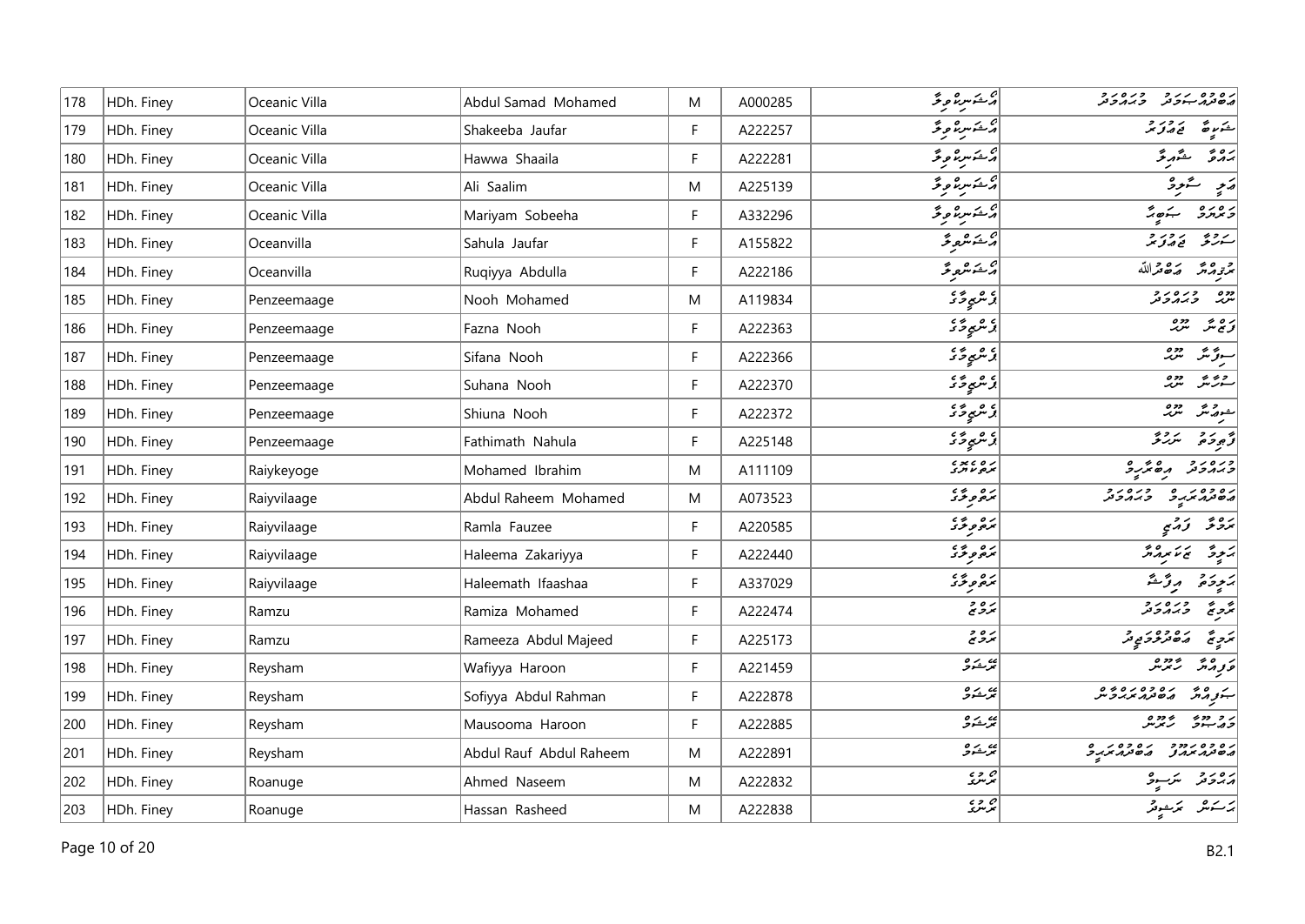| 178 | HDh. Finey | Oceanic Villa | Abdul Samad Mohamed     | M  | A000285 | رمستسر بنا عريحه                  | נסכם ננכ"כנסנכ<br>בסטבר-בכט כמבכט                        |
|-----|------------|---------------|-------------------------|----|---------|-----------------------------------|----------------------------------------------------------|
| 179 | HDh. Finey | Oceanic Villa | Shakeeba Jaufar         | F  | A222257 | پر ڪئوسر <i>تا</i> ھريحہ          | شەرق يەدىر                                               |
| 180 | HDh. Finey | Oceanic Villa | Hawwa Shaaila           | F. | A222281 | م شەمبرى <i>نا <sub>ئو</sub>ڭ</i> | برە ئەستىمە ئى                                           |
| 181 | HDh. Finey | Oceanic Villa | Ali Saalim              | M  | A225139 | م شەمبر ئاھ <sub>رى</sub> ئە      | أة مع الشعر وهي المحمد                                   |
| 182 | HDh. Finey | Oceanic Villa | Mariyam Sobeeha         | F  | A332296 | م<br>مشاه المسر مثل حريحه         | ره ره دره م                                              |
| 183 | HDh. Finey | Oceanvilla    | Sahula Jaufar           | F  | A155822 | م ينه مث <sub>عر</sub> و تح       | پروی در در د                                             |
| 184 | HDh. Finey | Oceanvilla    | Ruqiyya Abdulla         | F  | A222186 | مەسىئە مىرى <i>مى</i><br>         | بمتوريخ وكالحدائلة                                       |
| 185 | HDh. Finey | Penzeemaage   | Nooh Mohamed            | M  | A119834 | ئۇنترىپو ئەتر                     | מם כנסנב<br>ייטג כגונכט                                  |
| 186 | HDh. Finey | Penzeemaage   | Fazna Nooh              | F  | A222363 | ئۇنترىپە ئ <sup>ىرى</sup>         | ا ئەسى ئىگە<br>مەسىر<br>يتزم                             |
| 187 | HDh. Finey | Penzeemaage   | Sifana Nooh             | F  | A222366 | ئۇنترىپو ئەتر                     | متزم<br>سىزىتىر                                          |
| 188 | HDh. Finey | Penzeemaage   | Suhana Nooh             | F  | A222370 | ئۇنترىپو ئەتر                     | يە ئەشر<br>مترم                                          |
| 189 | HDh. Finey | Penzeemaage   | Shiuna Nooh             | F  | A222372 | ئۇنترىپو ئەتر                     | مترم<br>شور <sup>2</sup> مگر                             |
| 190 | HDh. Finey | Penzeemaage   | Fathimath Nahula        | F  | A225148 | ئۇنترىپە ئ <sup>ىرى</sup>         | و دو سردو                                                |
| 191 | HDh. Finey | Raiykeyoge    | Mohamed Ibrahim         | M  | A111109 | ر ۵ رو د<br>برو ما مرد            | כנסגב תפתיק                                              |
| 192 | HDh. Finey | Raiyvilaage   | Abdul Raheem Mohamed    | M  | A073523 | ر ه<br>بر <sub>گ</sub> ورځ د      | גפכפגם כגם בק                                            |
| 193 | HDh. Finey | Raiyvilaage   | Ramla Fauzee            | F  | A220585 | ره<br>بر <sub>حو</sub> بو پر      | پروڅ زړمي                                                |
| 194 | HDh. Finey | Raiyvilaage   | Haleema Zakariyya       | F  | A222440 | ىرە ھەتىي                         |                                                          |
| 195 | HDh. Finey | Raiyvilaage   | Haleemath Ifaashaa      | F. | A337029 | ر ه<br>بر <sub>گ</sub> ورځ د      | پرچرې په مرگرمنګ                                         |
| 196 | HDh. Finey | Ramzu         | Ramiza Mohamed          | F  | A222474 | بر و د<br>مرو م                   | وره ر و<br>وبرو تر<br>لتحريج                             |
| 197 | HDh. Finey | Ramzu         | Rameeza Abdul Majeed    | F  | A225173 | بر ه و<br>برو بع                  | بَرَدِ بِمُ مَا مِعْرَ حَمْدِ مِنْ                       |
| 198 | HDh. Finey | Reysham       | Wafiyya Haroon          | F  | A221459 | يحرشوح                            | ג פי היינים<br>פצמיק היבית                               |
| 199 | HDh. Finey | Reysham       | Sofiyya Abdul Rahman    | F. | A222878 | ے پر ہ<br>مرشد و                  | ر ه و ه ر ه د ه<br>پره تر پر <i>پر چ</i> س<br>ىبكۇ بەرگە |
| 200 | HDh. Finey | Reysham       | Mausooma Haroon         | F. | A222885 | بۇيئەد                            | נ כ בכל פרבים.<br>קוד הייכ"ל מיט                         |
| 201 | HDh. Finey | Reysham       | Abdul Rauf Abdul Raheem | M  | A222891 | بۇيئەد                            | נס כם נדכב נגס כם נגס<br>גם בנגיגות צג גם בנגיגות        |
| 202 | HDh. Finey | Roanuge       | Ahmed Naseem            | M  | A222832 | ہ و ،<br>برس                      | أرور و سرب                                               |
| 203 | HDh. Finey | Roanuge       | Hassan Rasheed          | M  | A222838 | ہ و ،<br>برس                      | ىزىكەش ئىزىدىق                                           |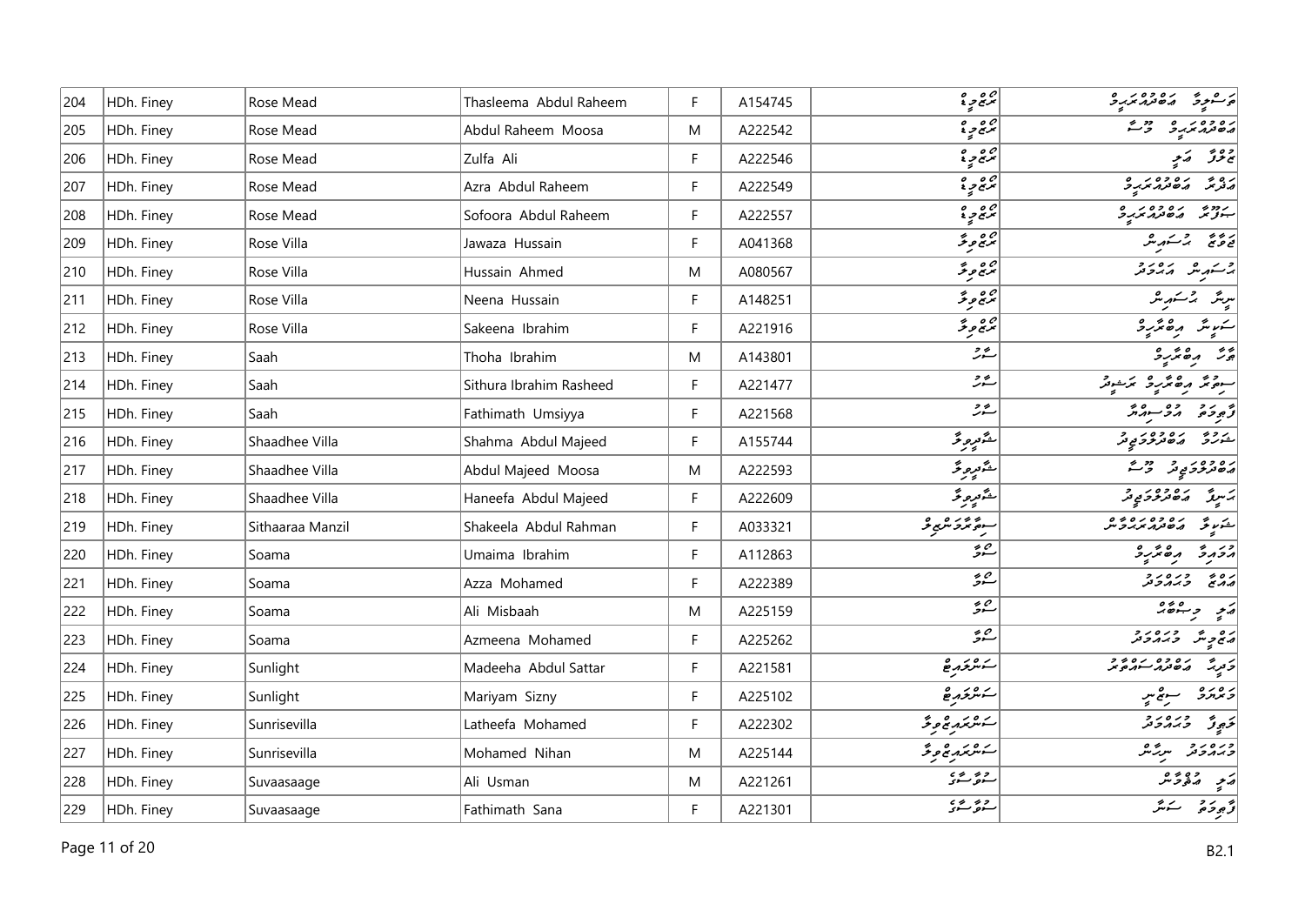| 204 | HDh. Finey | Rose Mead        | Thasleema Abdul Raheem  | F           | A154745 | 0 ه ه ح<br>مربع ح <sub>و</sub> ء    | ر صورته ره ده در و                                                                                                                                                                                                                                                                                                                                                                                                                                                |
|-----|------------|------------------|-------------------------|-------------|---------|-------------------------------------|-------------------------------------------------------------------------------------------------------------------------------------------------------------------------------------------------------------------------------------------------------------------------------------------------------------------------------------------------------------------------------------------------------------------------------------------------------------------|
| 205 | HDh. Finey | Rose Mead        | Abdul Raheem Moosa      | M           | A222542 | 0 ء ۾ ج                             | ره وه ر<br>مهنوم تربر د<br>وحسته                                                                                                                                                                                                                                                                                                                                                                                                                                  |
| 206 | HDh. Finey | Rose Mead        | Zulfa Ali               | F           | A222546 | ە ە ھ<br>ئىرىم ج <sub>و</sub> لا    | ة قوق أمامج                                                                                                                                                                                                                                                                                                                                                                                                                                                       |
| 207 | HDh. Finey | Rose Mead        | Azra Abdul Raheem       | F           | A222549 | ە ھ<br>ترىج ج                       | ره د ده ده در و<br>منرس م <b>ص</b> م <i>من</i> در                                                                                                                                                                                                                                                                                                                                                                                                                 |
| 208 | HDh. Finey | Rose Mead        | Sofoora Abdul Raheem    | F           | A222557 | ە ھ<br>ترىج ج                       | המי הסינגים                                                                                                                                                                                                                                                                                                                                                                                                                                                       |
| 209 | HDh. Finey | Rose Villa       | Jawaza Hussain          | F           | A041368 | ە ە ھ<br>ئىرىنى ھ <sub>ر</sub> ىتى  | ئے ونج پر شہر مگر                                                                                                                                                                                                                                                                                                                                                                                                                                                 |
| 210 | HDh. Finey | Rose Villa       | Hussain Ahmed           | ${\sf M}$   | A080567 | 2ء پر پ <del>چ</del>                | برسكهر مرورد                                                                                                                                                                                                                                                                                                                                                                                                                                                      |
| 211 | HDh. Finey | Rose Villa       | Neena Hussain           | F           | A148251 | ە ەھ بۇ ئە                          | سریٹر برے ہے                                                                                                                                                                                                                                                                                                                                                                                                                                                      |
| 212 | HDh. Finey | Rose Villa       | Sakeena Ibrahim         | F           | A221916 | مرج <sub>حر</sub> محہ               | سكبيش وكالمرباد                                                                                                                                                                                                                                                                                                                                                                                                                                                   |
| 213 | HDh. Finey | Saah             | Thoha Ibrahim           | M           | A143801 | ستەر                                | أومحر والمحرب                                                                                                                                                                                                                                                                                                                                                                                                                                                     |
| 214 | HDh. Finey | Saah             | Sithura Ibrahim Rasheed | F           | A221477 | ستەر                                |                                                                                                                                                                                                                                                                                                                                                                                                                                                                   |
| 215 | HDh. Finey | Saah             | Fathimath Umsiyya       | F           | A221568 | ستەر                                | $\begin{array}{cccccc} \mathcal{C} & \mathcal{C} & \mathcal{C} & \mathcal{C} & \mathcal{C} & \mathcal{C} & \mathcal{C} & \mathcal{C} & \mathcal{C} & \mathcal{C} & \mathcal{C} & \mathcal{C} & \mathcal{C} & \mathcal{C} & \mathcal{C} & \mathcal{C} & \mathcal{C} & \mathcal{C} & \mathcal{C} & \mathcal{C} & \mathcal{C} & \mathcal{C} & \mathcal{C} & \mathcal{C} & \mathcal{C} & \mathcal{C} & \mathcal{C} & \mathcal{C} & \mathcal{C} & \mathcal{C} & \math$ |
| 216 | HDh. Finey | Shaadhee Villa   | Shahma Abdul Majeed     | F           | A155744 | شگ <sup>و</sup> ر <i>و</i> گر       | ر وه ده وه د و<br>شروع گه هانگرمرو په تر                                                                                                                                                                                                                                                                                                                                                                                                                          |
| 217 | HDh. Finey | Shaadhee Villa   | Abdul Majeed Moosa      | M           | A222593 | ىشەد <sub>ى</sub> رىدۇ.<br>ئىقتىمىز | גם כפי בית כית                                                                                                                                                                                                                                                                                                                                                                                                                                                    |
| 218 | HDh. Finey | Shaadhee Villa   | Haneefa Abdul Majeed    | F           | A222609 | ر<br>شور و گر                       | پَسِ پُر صَحْرُو حَرِ مِي مَرْ                                                                                                                                                                                                                                                                                                                                                                                                                                    |
| 219 | HDh. Finey | Sithaaraa Manzil | Shakeela Abdul Rahman   | F           | A033321 | - ەترىر ئىرىم ئى                    | ره وه ره ده.<br>مقا <i>فره بوبر</i> و س<br>ىشكە بەيتى<br>ئ                                                                                                                                                                                                                                                                                                                                                                                                        |
| 220 | HDh. Finey | Soama            | Umaima Ibrahim          | F           | A112863 | يەمچ                                | ە ھەتئەر ۋ<br>لرئزمر پح                                                                                                                                                                                                                                                                                                                                                                                                                                           |
| 221 | HDh. Finey | Soama            | Azza Mohamed            | F           | A222389 | حيو                                 | ر ه و<br>در د ج<br>و ره ر و<br><i>و پر</i> و تر                                                                                                                                                                                                                                                                                                                                                                                                                   |
| 222 | HDh. Finey | Soama            | Ali Misbaah             | M           | A225159 | جومح                                | $rac{010}{010}$                                                                                                                                                                                                                                                                                                                                                                                                                                                   |
| 223 | HDh. Finey | Soama            | Azmeena Mohamed         | F           | A225262 | حيوته                               | ره چ چ <sub>ه</sub> متر<br>و رە ر د<br>تر پر تر تر                                                                                                                                                                                                                                                                                                                                                                                                                |
| 224 | HDh. Finey | Sunlight         | Madeeha Abdul Sattar    | $\mathsf F$ | A221581 | سەمىزىرغ                            | ئەمەرچە<br>ر ٥ ۶ ٥ ٥ ٥ ٠ ٥<br>پره تر پر سر پر پر                                                                                                                                                                                                                                                                                                                                                                                                                  |
| 225 | HDh. Finey | Sunlight         | Mariyam Sizny           | F           | A225102 | ر<br>سرگرم ه                        | ر ه بر ه<br><del>د</del> بربرد<br>سەچ بىر                                                                                                                                                                                                                                                                                                                                                                                                                         |
| 226 | HDh. Finey | Sunrisevilla     | Latheefa Mohamed        | F           | A222302 | سەمىرىمىز مۇرى <i>گە</i>            | و رە ر د<br>تر پر تر تر<br>  تَرْجِعُ تَرُ                                                                                                                                                                                                                                                                                                                                                                                                                        |
| 227 | HDh. Finey | Sunrisevilla     | Mohamed Nihan           | M           | A225144 | سەمىر <i>ىدى</i> بو ئۇ              | ورەرو سەھ                                                                                                                                                                                                                                                                                                                                                                                                                                                         |
| 228 | HDh. Finey | Suvaasaage       | Ali Usman               | M           | A221261 | <u>حوړ ځوي</u>                      | أمام وهام والمحمد                                                                                                                                                                                                                                                                                                                                                                                                                                                 |
| 229 | HDh. Finey | Suvaasaage       | Fathimath Sana          | F           | A221301 | <u>حوړ ځوي</u>                      | ۋە ئەھ ئىس                                                                                                                                                                                                                                                                                                                                                                                                                                                        |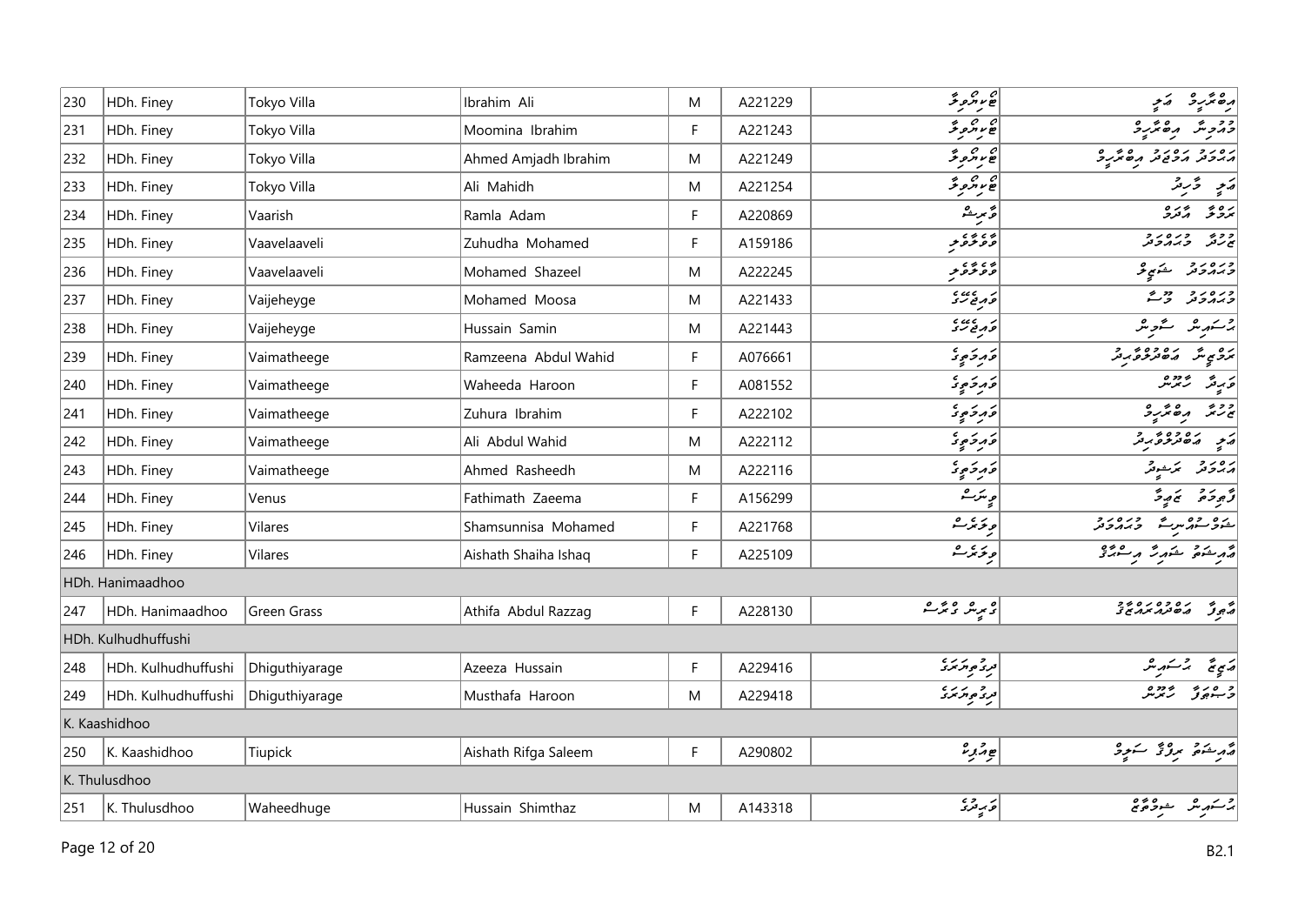| 230 | HDh. Finey          | Tokyo Villa    | Ibrahim Ali          | M | A221229 | ە بەر<br>ھېرىر موڭر               | رە ئەر ئ                                         |
|-----|---------------------|----------------|----------------------|---|---------|-----------------------------------|--------------------------------------------------|
| 231 | HDh. Finey          | Tokyo Villa    | Moomina Ibrahim      | F | A221243 | ە بەر<br>ھېرىر موڭر               | בגבית גםתקב                                      |
| 232 | HDh. Finey          | Tokyo Villa    | Ahmed Amjadh Ibrahim | M | A221249 | ە يەرگرىزىگە<br>ھايرىلىرىزىگ      | גם גם גם גם בינים.<br>גגבת גבשת גם <i>גי</i> נים |
| 233 | HDh. Finey          | Tokyo Villa    | Ali Mahidh           | M | A221254 | ە يەرگە بۇ ئە                     | ړي ځريز                                          |
| 234 | HDh. Finey          | Vaarish        | Ramla Adam           | F | A220869 | قرسر يثو                          | رەپ پەرە                                         |
| 235 | HDh. Finey          | Vaavelaaveli   | Zuhudha Mohamed      | F | A159186 | ړ ، په ،<br>د د د د د             | ووي ورەرو<br>يح <sup>ر</sup> ىگر <i>وبە</i> مرىر |
| 236 | HDh. Finey          | Vaavelaaveli   | Mohamed Shazeel      | M | A222245 | پرې په په                         | ورەرو شەرو                                       |
| 237 | HDh. Finey          | Vaijeheyge     | Mohamed Moosa        | M | A221433 | ر<br>تو در ج ر د                  | وره دو دورمج                                     |
| 238 | HDh. Finey          | Vaijeheyge     | Hussain Samin        | M | A221443 | ر<br>تو دي ري                     | برسكريش الشريش                                   |
| 239 | HDh. Finey          | Vaimatheege    | Ramzeena Abdul Wahid | F | A076661 | ئەر ئەم <sub>ۇ</sub> ئ            | ره په شهر ده وه په د<br>مرد پې شهر هامر ژوگر تر  |
| 240 | HDh. Finey          | Vaimatheege    | Waheeda Haroon       | F | A081552 | ر<br>وګړو <sub>مو</sub> ر         | ىر بۇ ھەدەرە<br>ھەيەتىر سىمەس                    |
| 241 | HDh. Finey          | Vaimatheege    | Zuhura Ibrahim       | F | A222102 | ئە مەركىمۇ ئە                     | $3\sqrt{20}$ $132$                               |
| 242 | HDh. Finey          | Vaimatheege    | Ali Abdul Wahid      | M | A222112 | ئەر ئەم<br>ئ                      | د ده ده در د                                     |
| 243 | HDh. Finey          | Vaimatheege    | Ahmed Rasheedh       | M | A222116 | ئەر ئەم <sub>ۇ</sub> ئ            | كالمرواز المتحصر                                 |
| 244 | HDh. Finey          | Venus          | Fathimath Zaeema     | F | A156299 | ا <sub>ھي</sub> سَر <sub>ھ</sub>  | توجوخوا المحاجي                                  |
| 245 | HDh. Finey          | Vilares        | Shamsunnisa Mohamed  | F | A221768 | وبخترشه                           | ره وه رو دره دره<br>شوو سهرس وره د د             |
| 246 | HDh. Finey          | Vilares        | Aishath Shaiha Ishaq | F | A225109 | ە ئرىزىشە                         | مەم شىم شىرىر مەسىر                              |
|     | HDh. Hanimaadhoo    |                |                      |   |         |                                   |                                                  |
| 247 | HDh. Hanimaadhoo    | Green Grass    | Athifa Abdul Razzag  | F | A228130 | <sub>ومریش و مُرَّٹ</sub>         |                                                  |
|     | HDh. Kulhudhuffushi |                |                      |   |         |                                   |                                                  |
| 248 | HDh. Kulhudhuffushi | Dhiguthiyarage | Azeeza Hussain       | F | A229416 | ور 3 مرکز دی<br>مرکز مرکز ترک     | أمَيِّ مَجْمَسِهِ مِسْرِ مِسْرِ                  |
| 249 | HDh. Kulhudhuffushi | Dhiguthiyarage | Musthafa Haroon      | M | A229418 | درج مرسر<br>برگ <i>ی در مر</i> کز | و قرری محمد و در در<br>حرب دو قرار گرفتن         |
|     | K. Kaashidhoo       |                |                      |   |         |                                   |                                                  |
| 250 | K. Kaashidhoo       | Tiupick        | Aishath Rifga Saleem | F | A290802 | جورتر مو                          | وأرجنتم بروقى كور                                |
|     | K. Thulusdhoo       |                |                      |   |         |                                   |                                                  |
| 251 | K. Thulusdhoo       | Waheedhuge     | Hussain Shimthaz     | M | A143318 | تر بر در د<br>تو بر تر د          | جر شركر سودگونج                                  |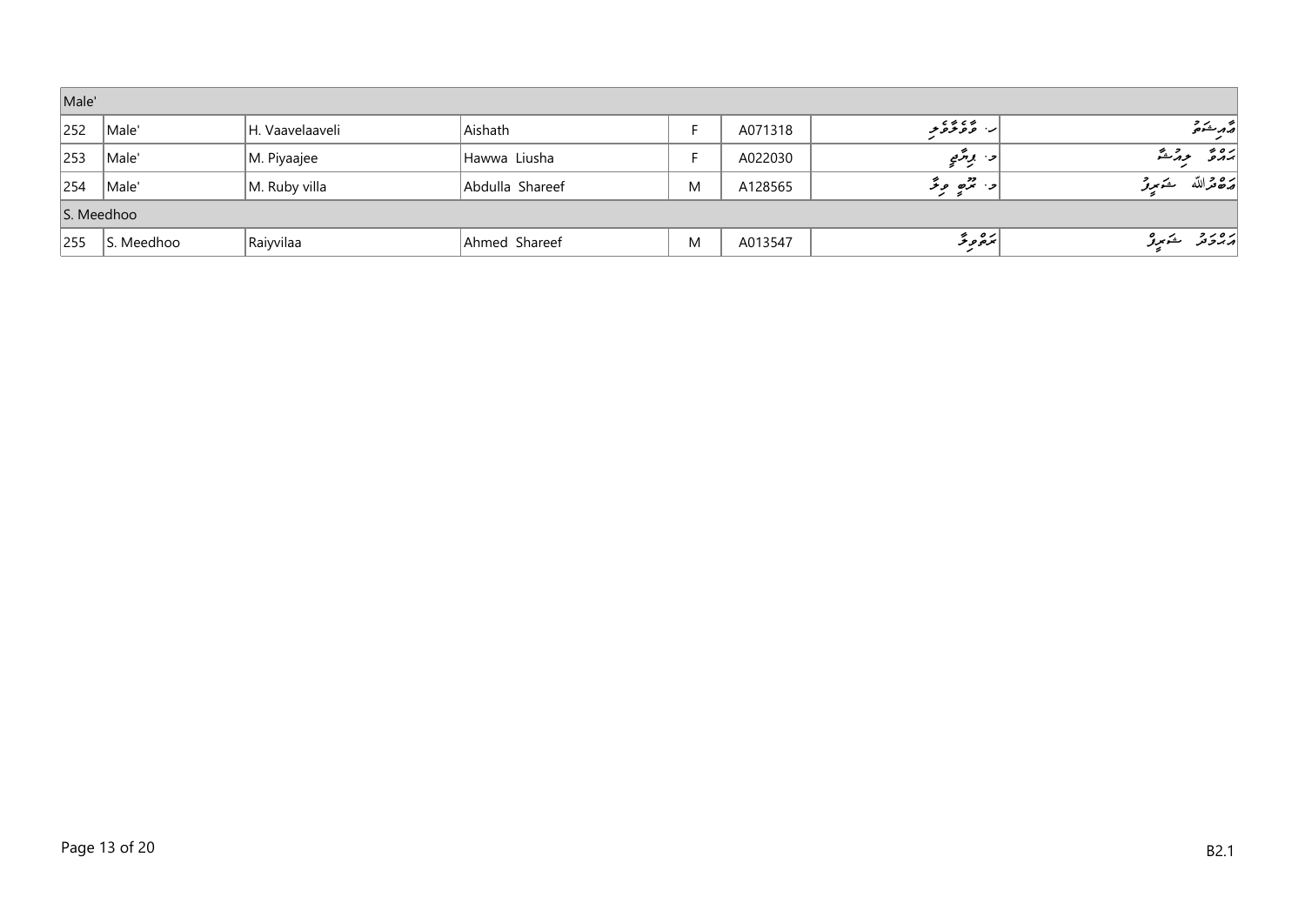| Male'         |            |                 |                 |   |         |            |                        |
|---------------|------------|-----------------|-----------------|---|---------|------------|------------------------|
| 252           | Male'      | H. Vaavelaaveli | Aishath         |   | A071318 | ر. ۵۶۶۶ و. | ا پھر دیکھی تھے۔<br>ا  |
| 253           | Male'      | M. Piyaajee     | Hawwa Liusha    |   | A022030 |            | پروٹر<br>ورثمش         |
| 254           | Male'      | M. Ruby villa   | Abdulla Shareef | M | A128565 | و· مچھ وگر | پر ۱۵ قرالله<br>شەمبرۇ |
| S. Meedhoo    |            |                 |                 |   |         |            |                        |
| $ 255\rangle$ | S. Meedhoo | Raiyvilaa       | Ahmed Shareef   | M | A013547 | ىزە دە ئۇ  | پر ژبر و<br>مشو مرو    |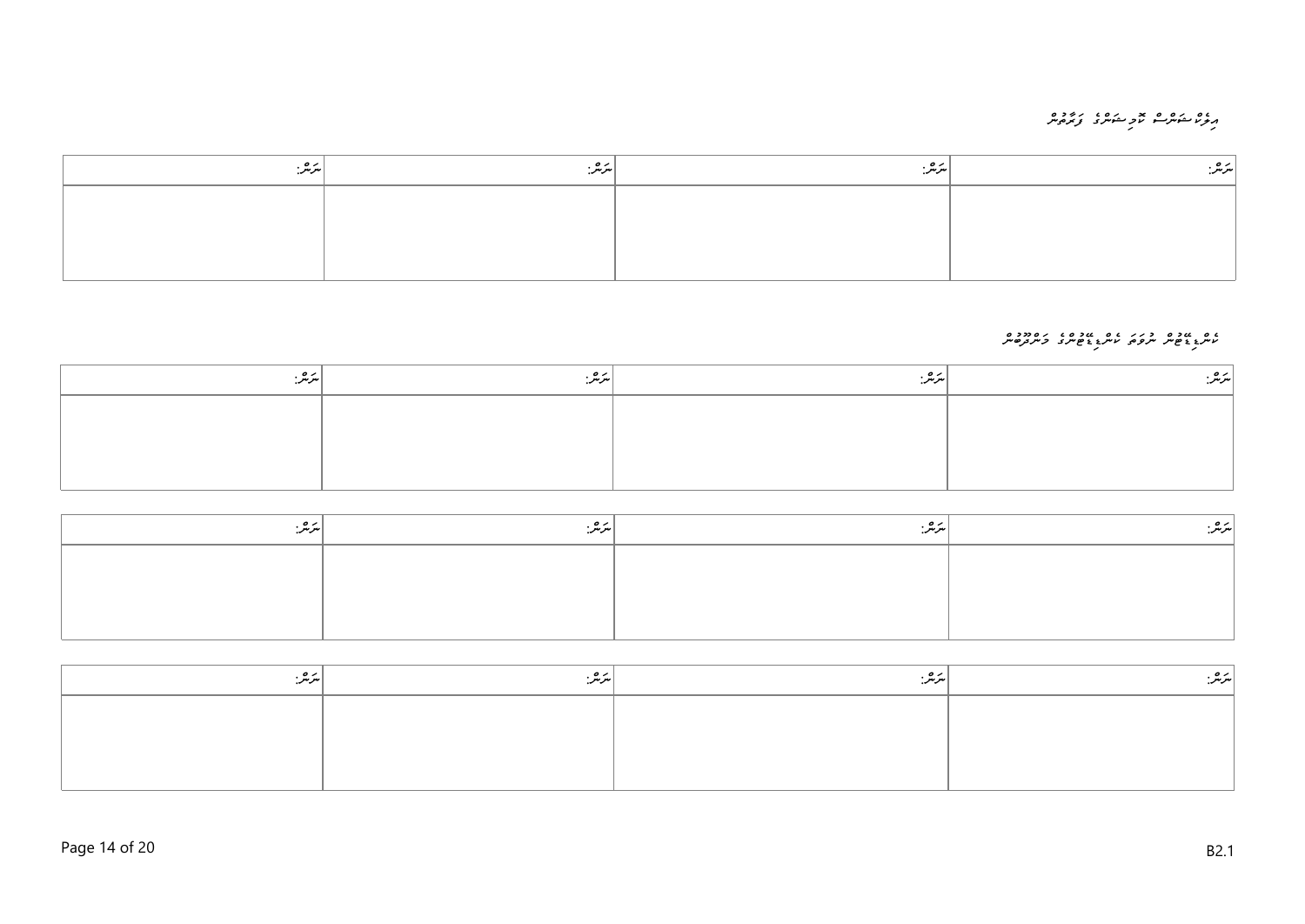## *w7qAn8m? sCw7mRo>u; wEw7mRw;sBo<*

| ' مرمر | 'يئرىثر: |
|--------|----------|
|        |          |
|        |          |
|        |          |

## *w7q9r@w7m> sCw7qHtFoFw7s; mAm=q7 w7qHtFoFw7s;*

| ىر تە | $\mathcal{O} \times$<br>$\sim$ | $\sim$<br>. . | لترنثر |
|-------|--------------------------------|---------------|--------|
|       |                                |               |        |
|       |                                |               |        |
|       |                                |               |        |

| $\frac{2}{n}$ | $^{\circ}$ | $\frac{2}{n}$ | $^{\circ}$<br>سرسر. |
|---------------|------------|---------------|---------------------|
|               |            |               |                     |
|               |            |               |                     |
|               |            |               |                     |

| ىرتىر: | 。<br>سر سر | .,<br>مرسر |
|--------|------------|------------|
|        |            |            |
|        |            |            |
|        |            |            |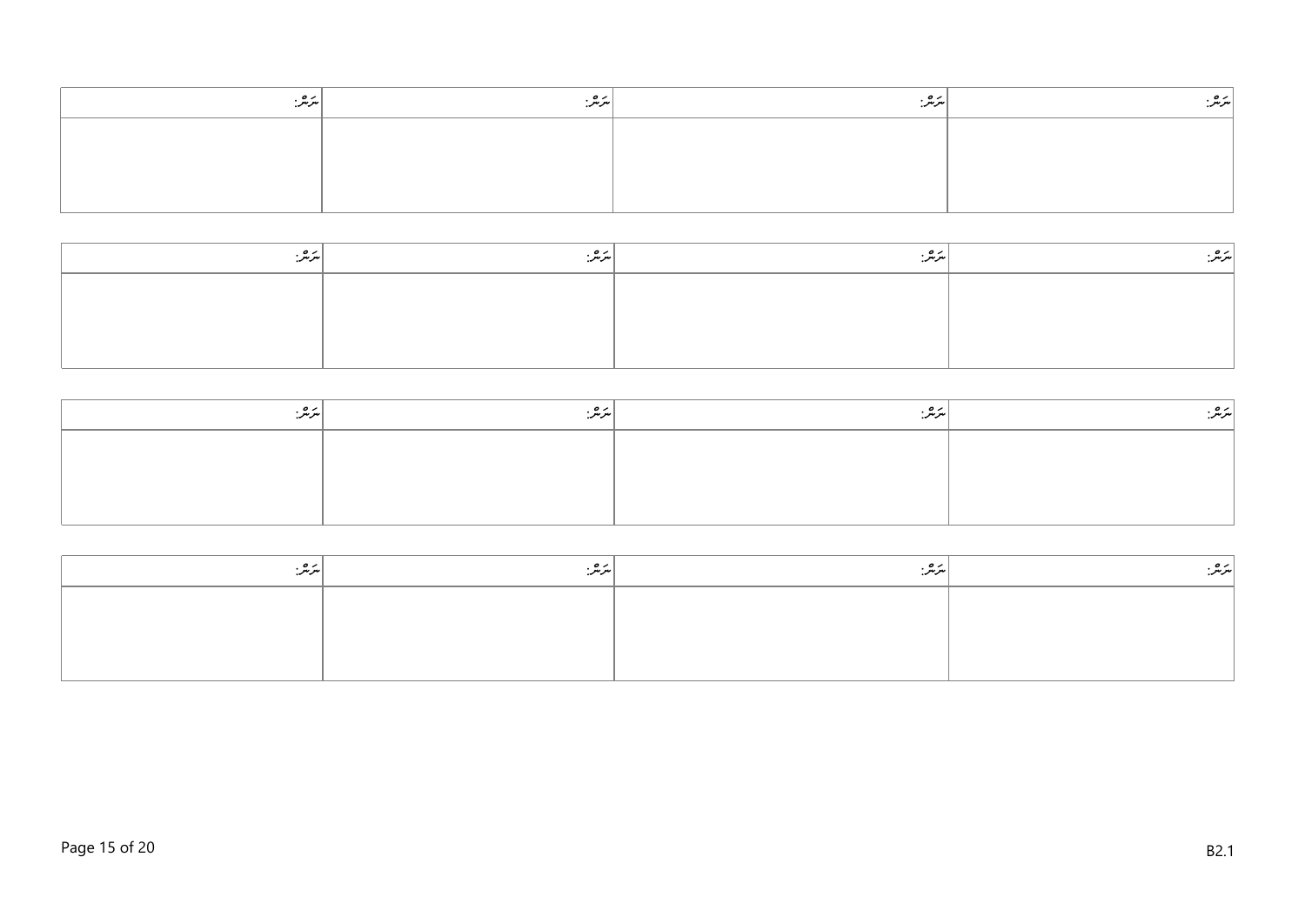| يزهر | $^{\circ}$ | ىئرىتر: |  |
|------|------------|---------|--|
|      |            |         |  |
|      |            |         |  |
|      |            |         |  |

| <sup>.</sup> سرسر. |  |
|--------------------|--|
|                    |  |
|                    |  |
|                    |  |

| ىئرىتر. | $\sim$ | ا بر هه. | لىرىش |
|---------|--------|----------|-------|
|         |        |          |       |
|         |        |          |       |
|         |        |          |       |

| 。<br>مرس. | $\overline{\phantom{a}}$<br>مر سر | يتريثر |
|-----------|-----------------------------------|--------|
|           |                                   |        |
|           |                                   |        |
|           |                                   |        |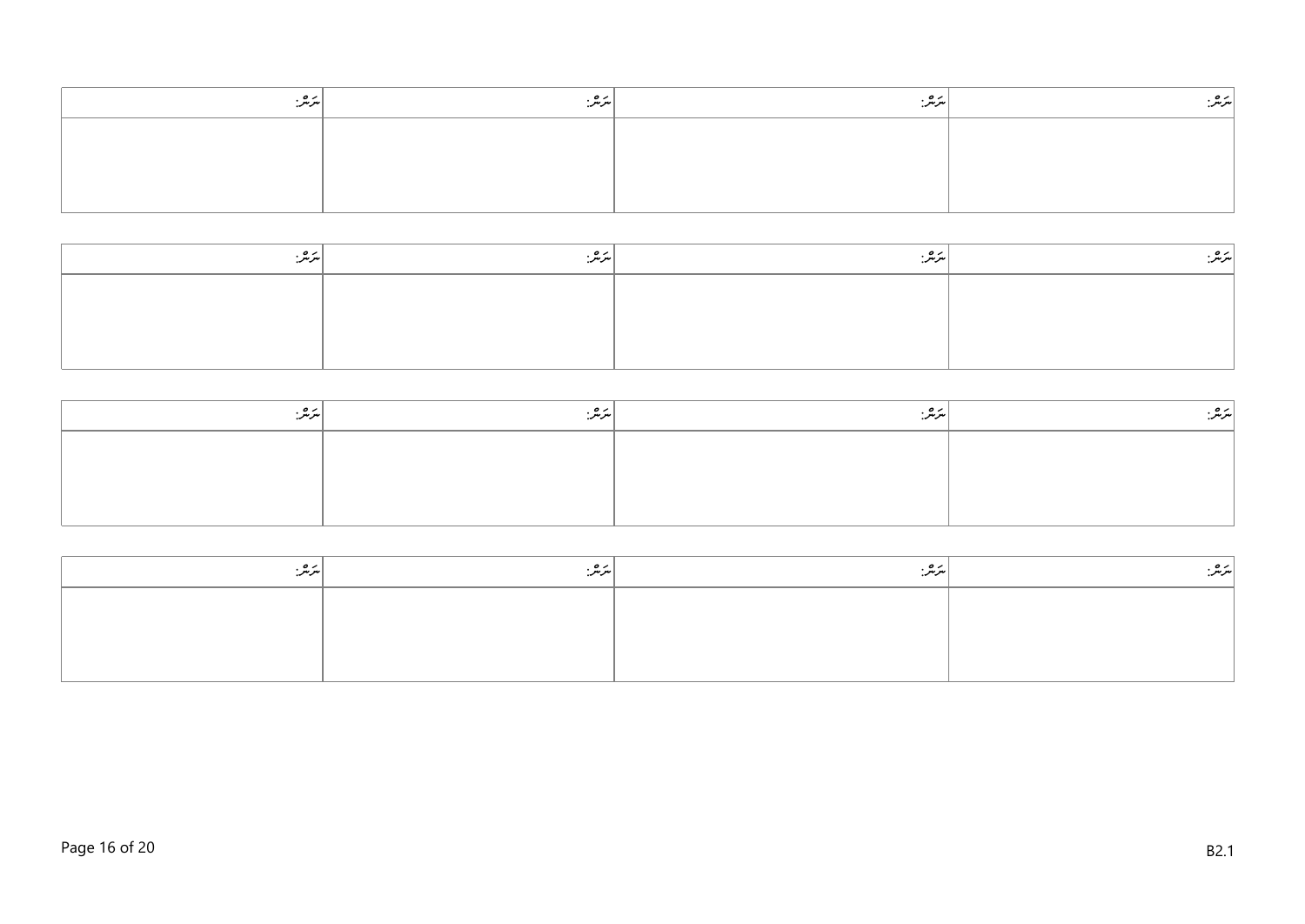| ير هو . | $\overline{\phantom{a}}$ | يرمر | اير هنه. |
|---------|--------------------------|------|----------|
|         |                          |      |          |
|         |                          |      |          |
|         |                          |      |          |

| ىبرىر. | $\sim$<br>ا سرسر . | يئرمثر | o . |
|--------|--------------------|--------|-----|
|        |                    |        |     |
|        |                    |        |     |
|        |                    |        |     |

| 'تترنثر: | . .<br>يسمونس. |  |
|----------|----------------|--|
|          |                |  |
|          |                |  |
|          |                |  |

|  | . ه |
|--|-----|
|  |     |
|  |     |
|  |     |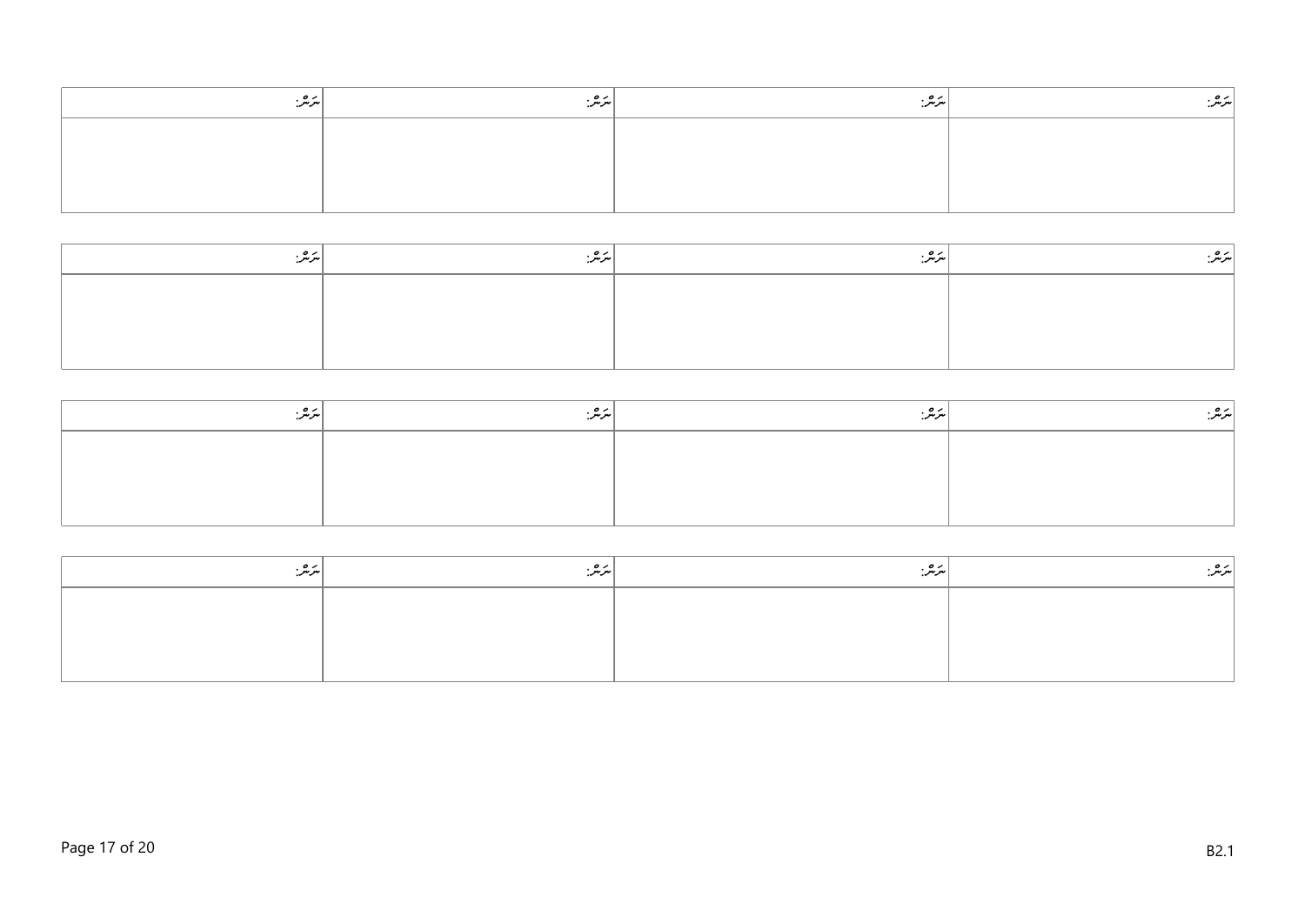| ير هو . | $\overline{\phantom{a}}$ | يرمر | اير هنه. |
|---------|--------------------------|------|----------|
|         |                          |      |          |
|         |                          |      |          |
|         |                          |      |          |

| ىبرىر. | $\sim$<br>ا سرسر . | يئرمثر | o . |
|--------|--------------------|--------|-----|
|        |                    |        |     |
|        |                    |        |     |
|        |                    |        |     |

| كترنثر: | 。 | 。<br>سمرسمد. | o <i>~</i> |
|---------|---|--------------|------------|
|         |   |              |            |
|         |   |              |            |
|         |   |              |            |

|  | . ه |
|--|-----|
|  |     |
|  |     |
|  |     |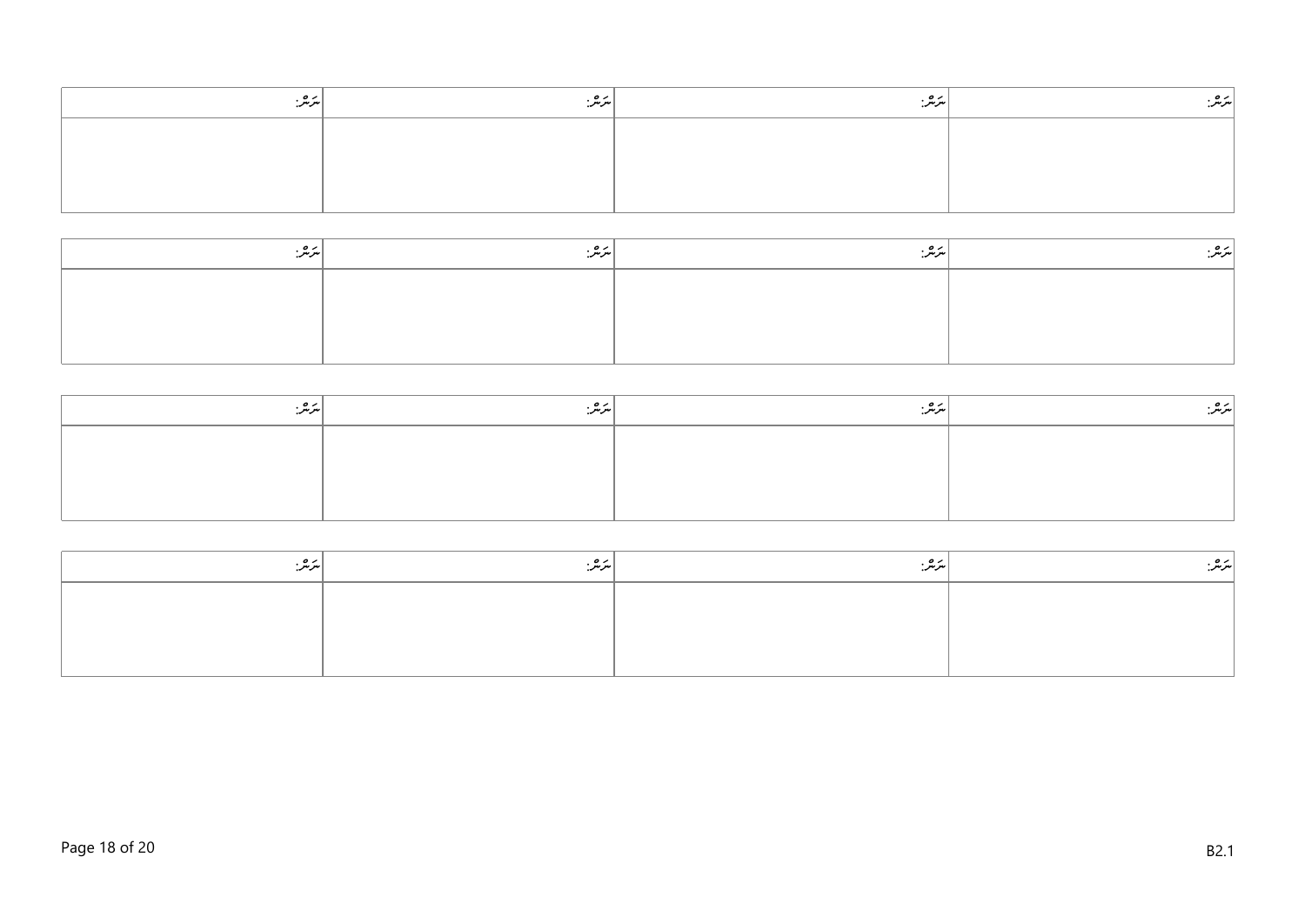| $\cdot$ | 。 | $\frac{\circ}{\cdot}$ | $\sim$<br>سرسر |
|---------|---|-----------------------|----------------|
|         |   |                       |                |
|         |   |                       |                |
|         |   |                       |                |

| يريثن | ' سرسر . |  |
|-------|----------|--|
|       |          |  |
|       |          |  |
|       |          |  |

| بر ه | . ه | $\sim$<br>سرسر |  |
|------|-----|----------------|--|
|      |     |                |  |
|      |     |                |  |
|      |     |                |  |

| 。<br>. س | ىرىىر |  |
|----------|-------|--|
|          |       |  |
|          |       |  |
|          |       |  |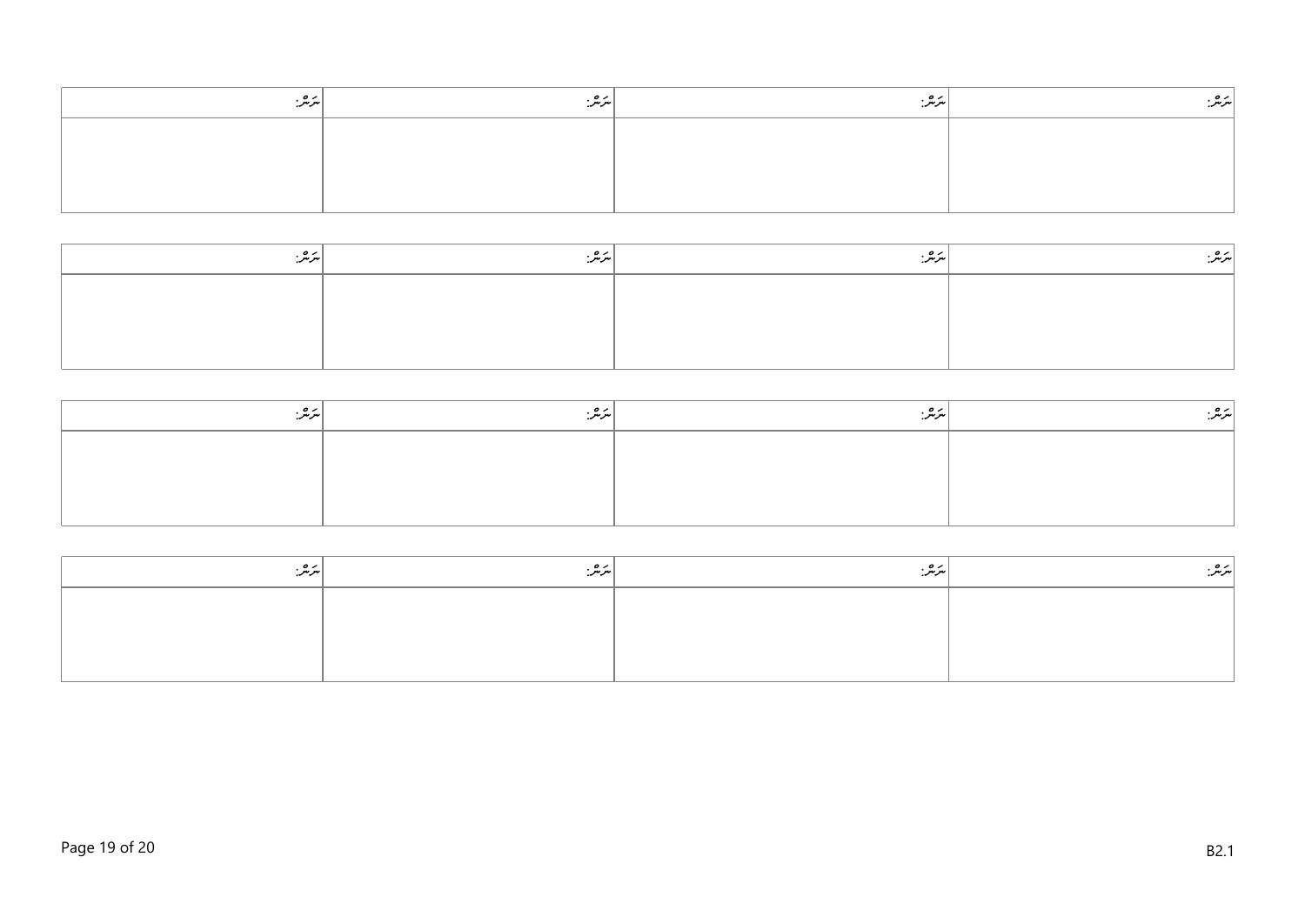| ير هو . | $\overline{\phantom{a}}$ | يرمر | اير هنه. |
|---------|--------------------------|------|----------|
|         |                          |      |          |
|         |                          |      |          |
|         |                          |      |          |

| ىبرىر. | $\sim$<br>ا سرسر . | يئرمثر | o . |
|--------|--------------------|--------|-----|
|        |                    |        |     |
|        |                    |        |     |
|        |                    |        |     |

| 'تترنثر: | 。<br>,,,, |  |
|----------|-----------|--|
|          |           |  |
|          |           |  |
|          |           |  |

|  | . ه |
|--|-----|
|  |     |
|  |     |
|  |     |